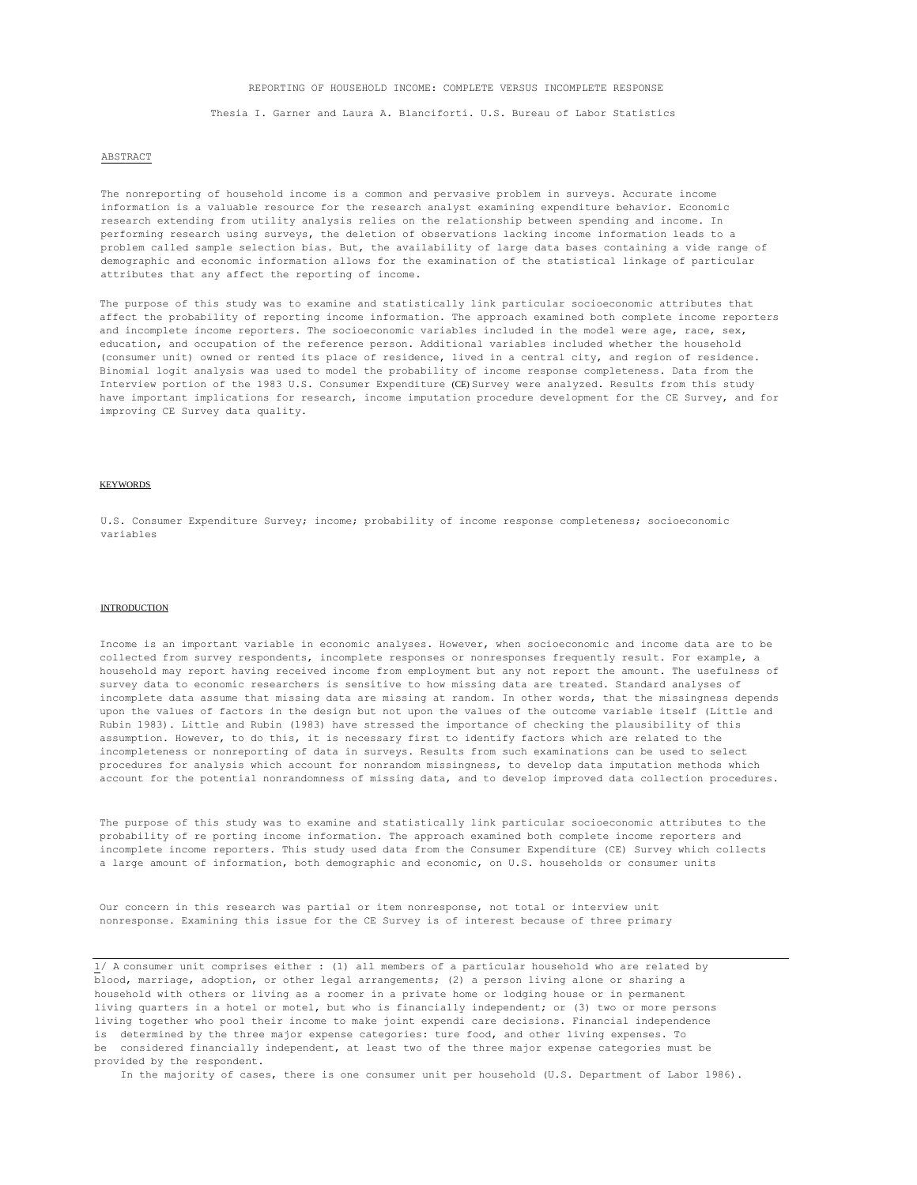### REPORTING OF HOUSEHOLD INCOME: COMPLETE VERSUS INCOMPLETE RESPONSE

Thesia I. Garner and Laura A. Blanciforti. U.S. Bureau of Labor Statistics

#### ABSTRACT

The nonreporting of household income is a common and pervasive problem in surveys. Accurate income information is a valuable resource for the research analyst examining expenditure behavior. Economic research extending from utility analysis relies on the relationship between spending and income. In performing research using surveys, the deletion of observations lacking income information leads to a problem called sample selection bias. But, the availability of large data bases containing a vide range of demographic and economic information allows for the examination of the statistical linkage of particular attributes that any affect the reporting of income.

The purpose of this study was to examine and statistically link particular socioeconomic attributes that affect the probability of reporting income information. The approach examined both complete income reporters and incomplete income reporters. The socioeconomic variables included in the model were age, race, sex, education, and occupation of the reference person. Additional variables included whether the household (consumer unit) owned or rented its place of residence, lived in a central city, and region of residence. Binomial logit analysis was used to model the probability of income response completeness. Data from the Interview portion of the 1983 U.S. Consumer Expenditure (CE) Survey were analyzed. Results from this study have important implications for research, income imputation procedure development for the CE Survey, and for improving CE Survey data quality.

## KEYWORDS

U.S. Consumer Expenditure Survey; income; probability of income response completeness; socioeconomic variables

## INTRODUCTION

Income is an important variable in economic analyses. However, when socioeconomic and income data are to be collected from survey respondents, incomplete responses or nonresponses frequently result. For example, a household may report having received income from employment but any not report the amount. The usefulness of survey data to economic researchers is sensitive to how missing data are treated. Standard analyses of incomplete data assume that missing data are missing at random. In other words, that the missingness depends upon the values of factors in the design but not upon the values of the outcome variable itself (Little and Rubin 1983). Little and Rubin (1983) have stressed the importance of checking the plausibility of this assumption. However, to do this, it is necessary first to identify factors which are related to the incompleteness or nonreporting of data in surveys. Results from such examinations can be used to select procedures for analysis which account for nonrandom missingness, to develop data imputation methods which account for the potential nonrandomness of missing data, and to develop improved data collection procedures.

The purpose of this study was to examine and statistically link particular socioeconomic attributes to the probability of re porting income information. The approach examined both complete income reporters and incomplete income reporters. This study used data from the Consumer Expenditure (CE) Survey which collects a large amount of information, both demographic and economic, on U.S. households or consumer units

Our concern in this research was partial or item nonresponse, not total or interview unit nonresponse. Examining this issue for the CE Survey is of interest because of three primary

1/ A consumer unit comprises either : (1) all members of a particular household who are related by blood, marriage, adoption, or other legal arrangements; (2) a person living alone or sharing a household with others or living as a roomer in a private home or lodging house or in permanent living quarters in a hotel or motel, but who is financially independent; or (3) two or more persons living together who pool their income to make joint expendi care decisions. Financial independence is determined by the three major expense categories: ture food, and other living expenses. To be considered financially independent, at least two of the three major expense categories must be provided by the respondent.

In the majority of cases, there is one consumer unit per household (U.S. Department of Labor 1986).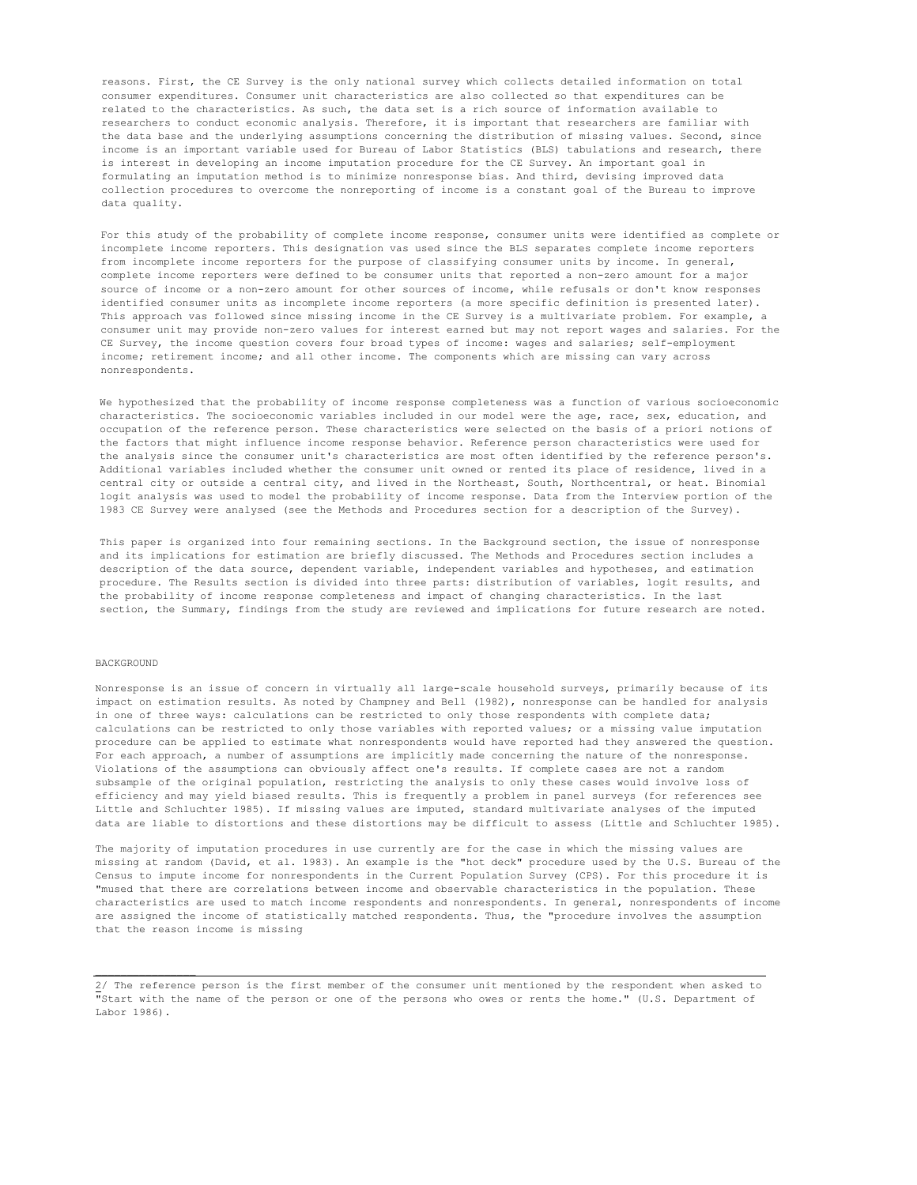reasons. First, the CE Survey is the only national survey which collects detailed information on total consumer expenditures. Consumer unit characteristics are also collected so that expenditures can be related to the characteristics. As such, the data set is a rich source of information available to researchers to conduct economic analysis. Therefore, it is important that researchers are familiar with the data base and the underlying assumptions concerning the distribution of missing values. Second, since income is an important variable used for Bureau of Labor Statistics (BLS) tabulations and research, there is interest in developing an income imputation procedure for the CE Survey. An important goal in formulating an imputation method is to minimize nonresponse bias. And third, devising improved data collection procedures to overcome the nonreporting of income is a constant goal of the Bureau to improve data quality.

For this study of the probability of complete income response, consumer units were identified as complete or incomplete income reporters. This designation vas used since the BLS separates complete income reporters from incomplete income reporters for the purpose of classifying consumer units by income. In general, complete income reporters were defined to be consumer units that reported a non-zero amount for a major source of income or a non-zero amount for other sources of income, while refusals or don't know responses identified consumer units as incomplete income reporters (a more specific definition is presented later). This approach vas followed since missing income in the CE Survey is a multivariate problem. For example, a consumer unit may provide non-zero values for interest earned but may not report wages and salaries. For the CE Survey, the income question covers four broad types of income: wages and salaries; self-employment income; retirement income; and all other income. The components which are missing can vary across nonrespondents.

We hypothesized that the probability of income response completeness was a function of various socioeconomic characteristics. The socioeconomic variables included in our model were the age, race, sex, education, and occupation of the reference person. These characteristics were selected on the basis of a priori notions of the factors that might influence income response behavior. Reference person characteristics were used for the analysis since the consumer unit's characteristics are most often identified by the reference person's. Additional variables included whether the consumer unit owned or rented its place of residence, lived in a central city or outside a central city, and lived in the Northeast, South, Northcentral, or heat. Binomial logit analysis was used to model the probability of income response. Data from the Interview portion of the 1983 CE Survey were analysed (see the Methods and Procedures section for a description of the Survey).

This paper is organized into four remaining sections. In the Background section, the issue of nonresponse and its implications for estimation are briefly discussed. The Methods and Procedures section includes a description of the data source, dependent variable, independent variables and hypotheses, and estimation procedure. The Results section is divided into three parts: distribution of variables, logit results, and the probability of income response completeness and impact of changing characteristics. In the last section, the Summary, findings from the study are reviewed and implications for future research are noted.

#### BACKGROUND

Nonresponse is an issue of concern in virtually all large-scale household surveys, primarily because of its impact on estimation results. As noted by Champney and Bell (1982), nonresponse can be handled for analysis in one of three ways: calculations can be restricted to only those respondents with complete data; calculations can be restricted to only those variables with reported values; or a missing value imputation procedure can be applied to estimate what nonrespondents would have reported had they answered the question. For each approach, a number of assumptions are implicitly made concerning the nature of the nonresponse. Violations of the assumptions can obviously affect one's results. If complete cases are not a random subsample of the original population, restricting the analysis to only these cases would involve loss of efficiency and may yield biased results. This is frequently a problem in panel surveys (for references see Little and Schluchter 1985). If missing values are imputed, standard multivariate analyses of the imputed data are liable to distortions and these distortions may be difficult to assess (Little and Schluchter 1985).

The majority of imputation procedures in use currently are for the case in which the missing values are missing at random (David, et al. 1983). An example is the "hot deck" procedure used by the U.S. Bureau of the Census to impute income for nonrespondents in the Current Population Survey (CPS). For this procedure it is "mused that there are correlations between income and observable characteristics in the population. These characteristics are used to match income respondents and nonrespondents. In general, nonrespondents of income are assigned the income of statistically matched respondents. Thus, the "procedure involves the assumption that the reason income is missing

<sup>2/</sup> The reference person is the first member of the consumer unit mentioned by the respondent when asked to "Start with the name of the person or one of the persons who owes or rents the home." (U.S. Department of Labor 1986).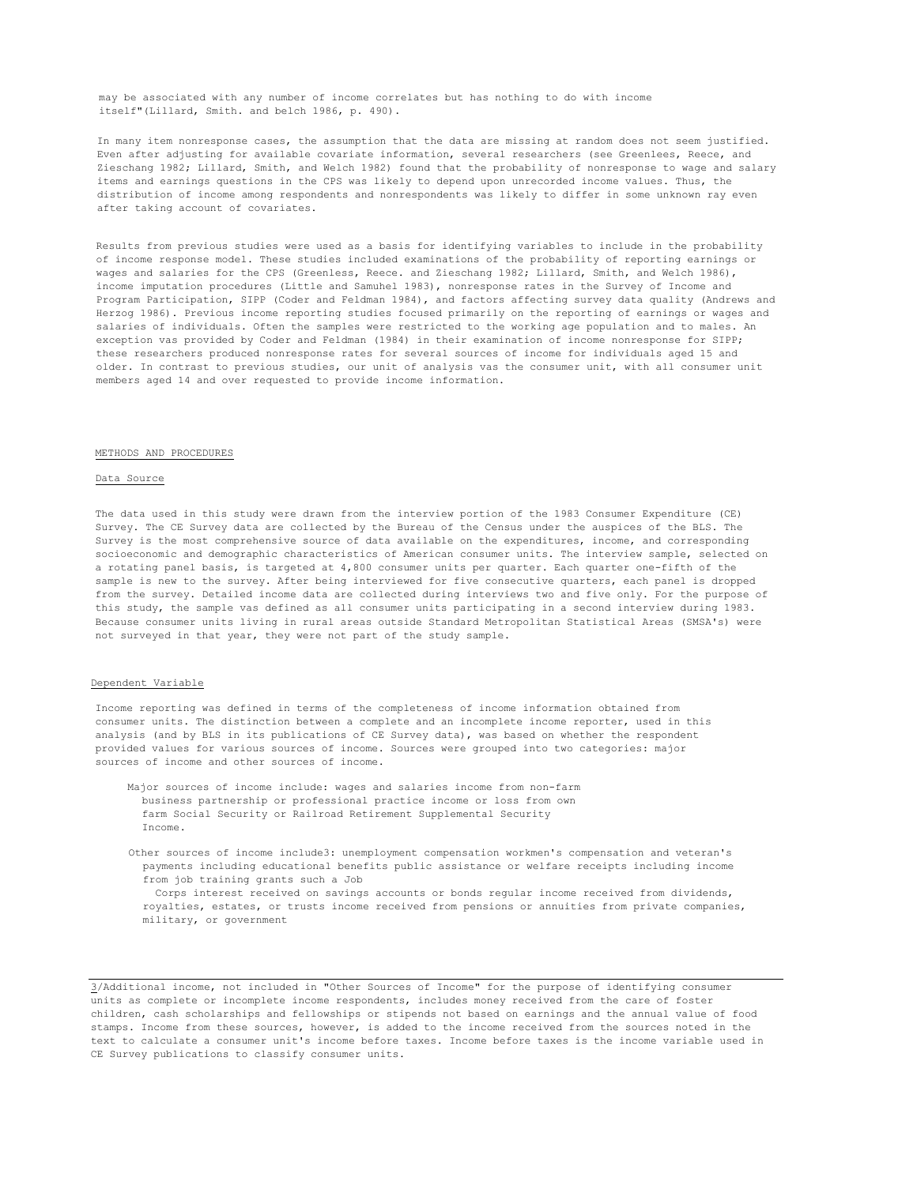may be associated with any number of income correlates but has nothing to do with income itself"(Lillard, Smith. and belch 1986, p. 490).

In many item nonresponse cases, the assumption that the data are missing at random does not seem justified. Even after adjusting for available covariate information, several researchers (see Greenlees, Reece, and Zieschang 1982; Lillard, Smith, and Welch 1982) found that the probability of nonresponse to wage and salary items and earnings questions in the CPS was likely to depend upon unrecorded income values. Thus, the distribution of income among respondents and nonrespondents was likely to differ in some unknown ray even after taking account of covariates.

Results from previous studies were used as a basis for identifying variables to include in the probability of income response model. These studies included examinations of the probability of reporting earnings or wages and salaries for the CPS (Greenless, Reece. and Zieschang 1982; Lillard, Smith, and Welch 1986), income imputation procedures (Little and Samuhel 1983), nonresponse rates in the Survey of Income and Program Participation, SIPP (Coder and Feldman 1984), and factors affecting survey data quality (Andrews and Herzog 1986). Previous income reporting studies focused primarily on the reporting of earnings or wages and salaries of individuals. Often the samples were restricted to the working age population and to males. An exception vas provided by Coder and Feldman (1984) in their examination of income nonresponse for SIPP; these researchers produced nonresponse rates for several sources of income for individuals aged 15 and older. In contrast to previous studies, our unit of analysis vas the consumer unit, with all consumer unit members aged 14 and over requested to provide income information.

#### METHODS AND PROCEDURES

#### Data Source

The data used in this study were drawn from the interview portion of the 1983 Consumer Expenditure (CE) Survey. The CE Survey data are collected by the Bureau of the Census under the auspices of the BLS. The Survey is the most comprehensive source of data available on the expenditures, income, and corresponding socioeconomic and demographic characteristics of American consumer units. The interview sample, selected on a rotating panel basis, is targeted at 4,800 consumer units per quarter. Each quarter one-fifth of the sample is new to the survey. After being interviewed for five consecutive quarters, each panel is dropped from the survey. Detailed income data are collected during interviews two and five only. For the purpose of this study, the sample vas defined as all consumer units participating in a second interview during 1983. Because consumer units living in rural areas outside Standard Metropolitan Statistical Areas (SMSA's) were not surveyed in that year, they were not part of the study sample.

#### Dependent Variable

Income reporting was defined in terms of the completeness of income information obtained from consumer units. The distinction between a complete and an incomplete income reporter, used in this analysis (and by BLS in its publications of CE Survey data), was based on whether the respondent provided values for various sources of income. Sources were grouped into two categories: major sources of income and other sources of income.

- Major sources of income include: wages and salaries income from non-farm business partnership or professional practice income or loss from own farm Social Security or Railroad Retirement Supplemental Security Income.
- Other sources of income include3: unemployment compensation workmen's compensation and veteran's payments including educational benefits public assistance or welfare receipts including income from job training grants such a Job Corps interest received on savings accounts or bonds regular income received from dividends,
	- royalties, estates, or trusts income received from pensions or annuities from private companies, military, or government

3/Additional income, not included in "Other Sources of Income" for the purpose of identifying consumer units as complete or incomplete income respondents, includes money received from the care of foster children, cash scholarships and fellowships or stipends not based on earnings and the annual value of food stamps. Income from these sources, however, is added to the income received from the sources noted in the text to calculate a consumer unit's income before taxes. Income before taxes is the income variable used in CE Survey publications to classify consumer units.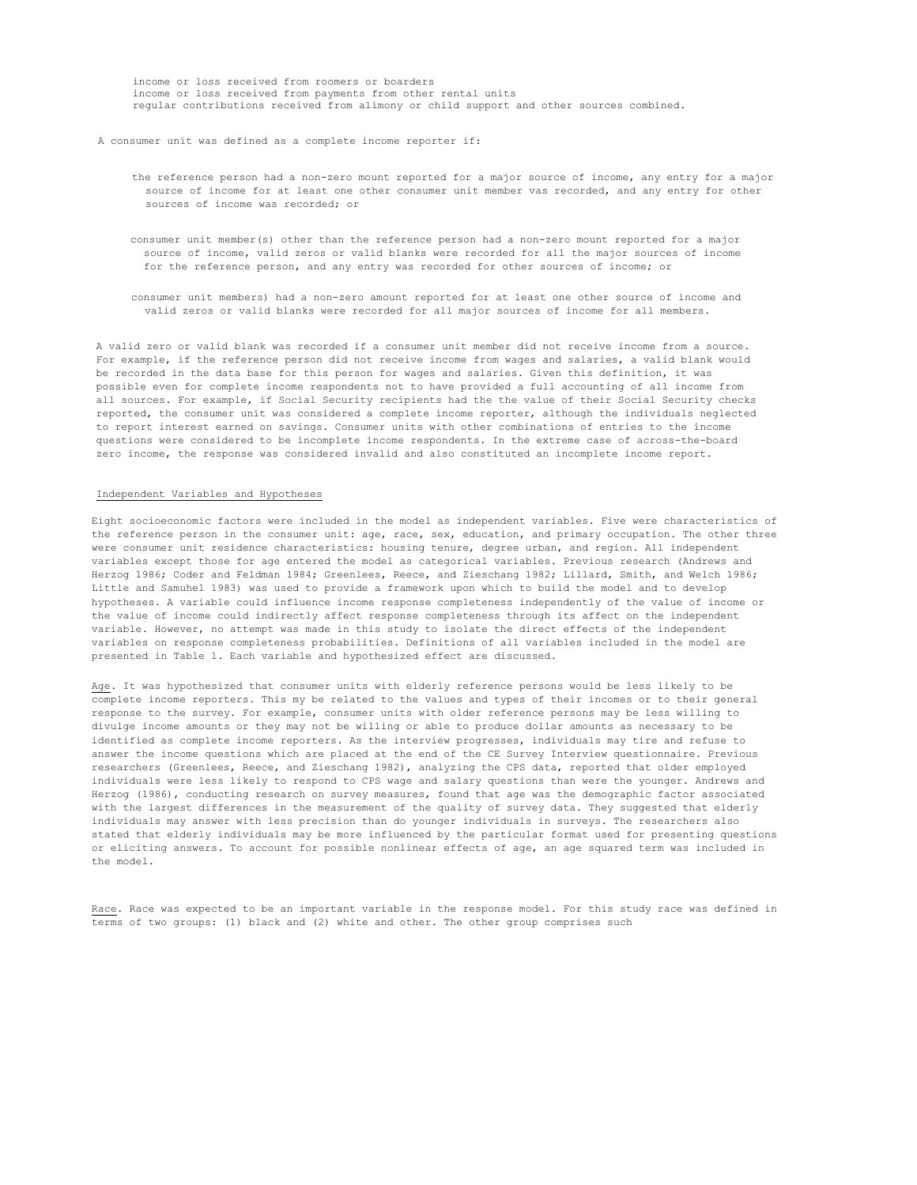income or loss received from roomers or boarders income or loss received from payments from other rental units regular contributions received from alimony or child support and other sources combined.

### A consumer unit was defined as a complete income reporter if:

- the reference person had a non-zero mount reported for a major source of income, any entry for a major source of income for at least one other consumer unit member vas recorded, and any entry for other sources of income was recorded; or
- consumer unit member(s) other than the reference person had a non-zero mount reported for a major source of income, valid zeros or valid blanks were recorded for all the major sources of income for the reference person, and any entry was recorded for other sources of income; or
- consumer unit members) had a non-zero amount reported for at least one other source of income and valid zeros or valid blanks were recorded for all major sources of income for all members.

A valid zero or valid blank was recorded if a consumer unit member did not receive income from a source. For example, if the reference person did not receive income from wages and salaries, a valid blank would be recorded in the data base for this person for wages and salaries. Given this definition, it was possible even for complete income respondents not to have provided a full accounting of all income from all sources. For example, if Social Security recipients had the the value of their Social Security checks reported, the consumer unit was considered a complete income reporter, although the individuals neglected to report interest earned on savings. Consumer units with other combinations of entries to the income questions were considered to be incomplete income respondents. In the extreme case of across-the-board zero income, the response was considered invalid and also constituted an incomplete income report.

## Independent Variables and Hypotheses

Eight socioeconomic factors were included in the model as independent variables. Five were characteristics of the reference person in the consumer unit: age, race, sex, education, and primary occupation. The other three were consumer unit residence characteristics: housing tenure, degree urban, and region. All independent variables except those for age entered the model as categorical variables. Previous research (Andrews and Herzog 1986; Coder and Feldman 1984; Greenlees, Reece, and Zieschang 1982; Lillard, Smith, and Welch 1986; Little and Samuhel 1983) was used to provide a framework upon which to build the model and to develop hypotheses. A variable could influence income response completeness independently of the value of income or the value of income could indirectly affect response completeness through its affect on the independent variable. However, no attempt was made in this study to isolate the direct effects of the independent variables on response completeness probabilities. Definitions of all variables included in the model are presented in Table 1. Each variable and hypothesized effect are discussed.

Age. It was hypothesized that consumer units with elderly reference persons would be less likely to be complete income reporters. This my be related to the values and types of their incomes or to their general response to the survey. For example, consumer units with older reference persons may be less willing to divulge income amounts or they may not be willing or able to produce dollar amounts as necessary to be identified as complete income reporters. As the interview progresses, individuals may tire and refuse to answer the income questions which are placed at the end of the CE Survey Interview questionnaire. Previous researchers (Greenlees, Reece, and Zieschang 1982), analyzing the CPS data, reported that older employed individuals were less likely to respond to CPS wage and salary questions than were the younger. Andrews and Herzog (1986), conducting research on survey measures, found that age was the demographic factor associated with the largest differences in the measurement of the quality of survey data. They suggested that elderly individuals may answer with less precision than do younger individuals in surveys. The researchers also stated that elderly individuals may be more influenced by the particular format used for presenting questions or eliciting answers. To account for possible nonlinear effects of age, an age squared term was included in the model.

Race. Race was expected to be an important variable in the response model. For this study race was defined in terms of two groups: (1) black and (2) white and other. The other group comprises such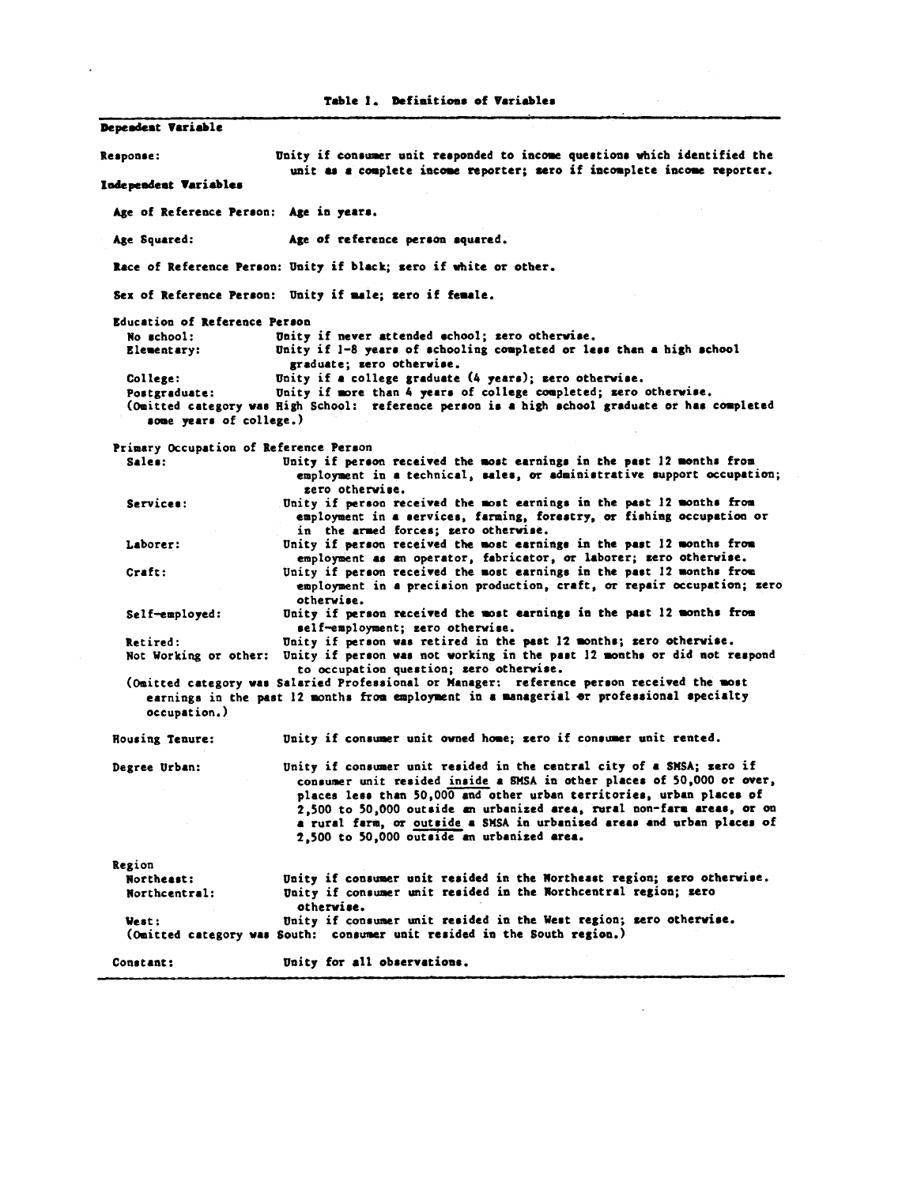Table 1. Definitions of Variables Dependent Variable Unity if consumer unit responded to income questions which identified the Response: unit as a complete income reporter; zero if incomplete income reporter. Independent Variables Age of Reference Person: Age in years. Age of reference person squared. Age Souared: Race of Reference Person: Unity if black; sero if white or other. Sex of Reference Person: Unity if male; zero if female. Education of Reference Person No school: Unity if never attended echool; zero otherwise. Unity if 1-8 years of schooling completed or less than a high school Elementary: graduate; zero otherwise. Unity if a college graduate (4 years); zero otherwise. College: Postgraduate: Unity if more than 4 years of college completed; zero otherwise. (Omitted category was High School: reference person is a high school graduate or has completed some years of college.) Primary Occupation of Reference Person Unity if person received the most earnings in the past 12 months from Sales: employment in a technical, sales, or administrative support occupation; zero otherwise. Unity if person received the most earnings in the past 12 months from Services: employment in a services, farming, forestry, or fishing occupation or in the armed forces; zero otherwise. Unity if person received the most earnings in the past 12 months from Laborer: employment as an operator, fabricator, or laborer; zero otherwise. Unity if person received the most earnings in the past 12 months from Craft: employment in a precision production, craft, or repair occupation; zero otherwise. Unity if person received the most earnings in the past 12 months from Self-employed: self-employment; zero otherwise. Unity if person was retired in the past 12 months; zero otherwise. Retired: Not Working or other: Unity if person was not working in the past 12 months or did not respond to occupation question; zero otherwise. (Omitted category was Salaried Professional or Manager: reference person received the most earnings in the past 12 months from employment in a managerial or professional specialty occupation.) Housing Tenure: Unity if consumer unit owned home; zero if consumer unit rented. Unity if consumer unit resided in the central city of a SMSA; sero if Degree Urban: consumer unit resided inside a SMSA in other places of 50,000 or over, places less than 50,000 and other urban territories, urban places of 2,500 to 50,000 outside an urbanized area, rural non-farm areas, or on a rural farm, or outside a SMSA in urbanized areas and urban places of 2,500 to 50,000 outside an urbanized area. Region Unity if consumer unit resided in the Northeast region; sero otherwise. Northeast: Unity if consumer unit resided in the Northcentral region; zero Northcentral: otherwise. Unity if consumer unit resided in the West region; zero otherwise. West: (Omitted category was South: consumer unit resided in the South region.) Unity for all observations. Constant: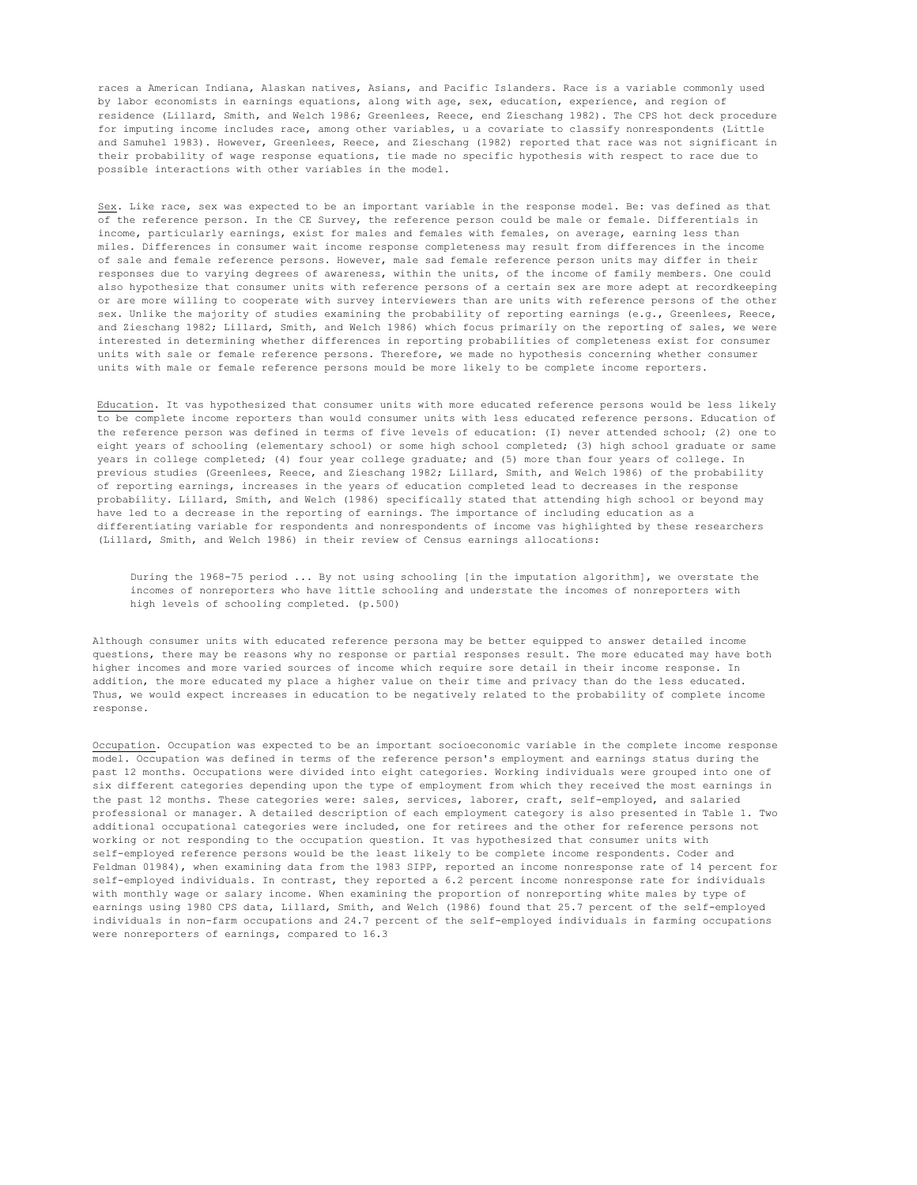races a American Indiana, Alaskan natives, Asians, and Pacific Islanders. Race is a variable commonly used by labor economists in earnings equations, along with age, sex, education, experience, and region of residence (Lillard, Smith, and Welch 1986; Greenlees, Reece, end Zieschang 1982). The CPS hot deck procedure for imputing income includes race, among other variables, u a covariate to classify nonrespondents (Little and Samuhel 1983). However, Greenlees, Reece, and Zieschang (1982) reported that race was not significant in their probability of wage response equations, tie made no specific hypothesis with respect to race due to possible interactions with other variables in the model.

Sex. Like race, sex was expected to be an important variable in the response model. Be: vas defined as that of the reference person. In the CE Survey, the reference person could be male or female. Differentials in income, particularly earnings, exist for males and females with females, on average, earning less than miles. Differences in consumer wait income response completeness may result from differences in the income of sale and female reference persons. However, male sad female reference person units may differ in their responses due to varying degrees of awareness, within the units, of the income of family members. One could also hypothesize that consumer units with reference persons of a certain sex are more adept at recordkeeping or are more willing to cooperate with survey interviewers than are units with reference persons of the other sex. Unlike the majority of studies examining the probability of reporting earnings (e.g., Greenlees, Reece, and Zieschang 1982; Lillard, Smith, and Welch 1986) which focus primarily on the reporting of sales, we were interested in determining whether differences in reporting probabilities of completeness exist for consumer units with sale or female reference persons. Therefore, we made no hypothesis concerning whether consumer units with male or female reference persons mould be more likely to be complete income reporters.

Education. It vas hypothesized that consumer units with more educated reference persons would be less likely to be complete income reporters than would consumer units with less educated reference persons. Education of the reference person was defined in terms of five levels of education: (I) never attended school; (2) one to eight years of schooling (elementary school) or some high school completed; (3) high school graduate or same years in college completed; (4) four year college graduate; and (5) more than four years of college. In previous studies (Greenlees, Reece, and Zieschang 1982; Lillard, Smith, and Welch 1986) of the probability of reporting earnings, increases in the years of education completed lead to decreases in the response probability. Lillard, Smith, and Welch (1986) specifically stated that attending high school or beyond may have led to a decrease in the reporting of earnings. The importance of including education as a differentiating variable for respondents and nonrespondents of income vas highlighted by these researchers (Lillard, Smith, and Welch 1986) in their review of Census earnings allocations:

During the 1968-75 period ... By not using schooling [in the imputation algorithm], we overstate the incomes of nonreporters who have little schooling and understate the incomes of nonreporters with high levels of schooling completed. (p.500)

Although consumer units with educated reference persona may be better equipped to answer detailed income questions, there may be reasons why no response or partial responses result. The more educated may have both higher incomes and more varied sources of income which require sore detail in their income response. In addition, the more educated my place a higher value on their time and privacy than do the less educated. Thus, we would expect increases in education to be negatively related to the probability of complete income response.

Occupation. Occupation was expected to be an important socioeconomic variable in the complete income response model. Occupation was defined in terms of the reference person's employment and earnings status during the past 12 months. Occupations were divided into eight categories. Working individuals were grouped into one of six different categories depending upon the type of employment from which they received the most earnings in the past 12 months. These categories were: sales, services, laborer, craft, self-employed, and salaried professional or manager. A detailed description of each employment category is also presented in Table 1. Two additional occupational categories were included, one for retirees and the other for reference persons not working or not responding to the occupation question. It vas hypothesized that consumer units with self-employed reference persons would be the least likely to be complete income respondents. Coder and Feldman 01984), when examining data from the 1983 SIPP, reported an income nonresponse rate of 14 percent for self-employed individuals. In contrast, they reported a 6.2 percent income nonresponse rate for individuals with monthly wage or salary income. When examining the proportion of nonreporting white males by type of earnings using 1980 CPS data, Lillard, Smith, and Welch (1986) found that 25.7 percent of the self-employed individuals in non-farm occupations and 24.7 percent of the self-employed individuals in farming occupations were nonreporters of earnings, compared to 16.3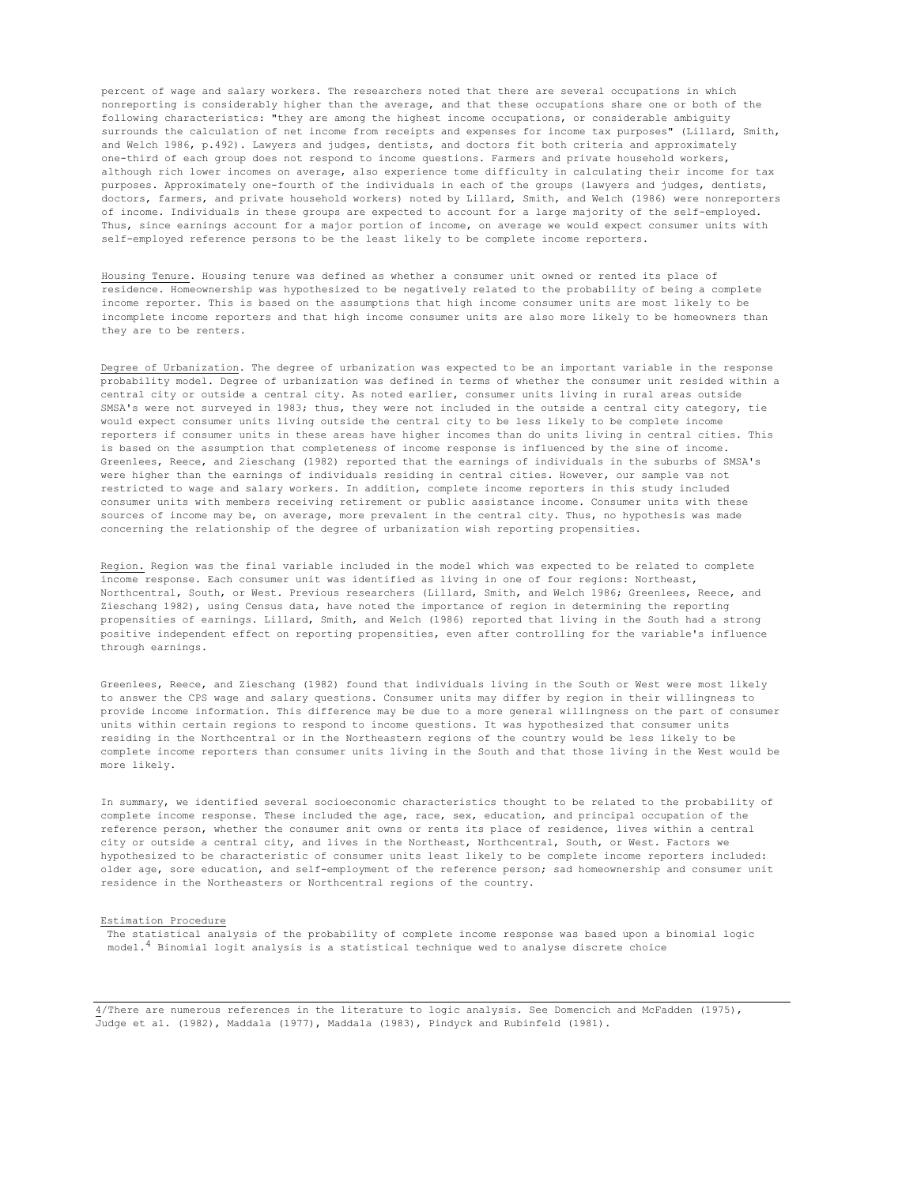percent of wage and salary workers. The researchers noted that there are several occupations in which nonreporting is considerably higher than the average, and that these occupations share one or both of the following characteristics: "they are among the highest income occupations, or considerable ambiguity surrounds the calculation of net income from receipts and expenses for income tax purposes" (Lillard, Smith, and Welch 1986, p.492). Lawyers and judges, dentists, and doctors fit both criteria and approximately one-third of each group does not respond to income questions. Farmers and private household workers, although rich lower incomes on average, also experience tome difficulty in calculating their income for tax purposes. Approximately one-fourth of the individuals in each of the groups (lawyers and judges, dentists, doctors, farmers, and private household workers) noted by Lillard, Smith, and Welch (1986) were nonreporters of income. Individuals in these groups are expected to account for a large majority of the self-employed. Thus, since earnings account for a major portion of income, on average we would expect consumer units with self-employed reference persons to be the least likely to be complete income reporters.

Housing Tenure. Housing tenure was defined as whether a consumer unit owned or rented its place of residence. Homeownership was hypothesized to be negatively related to the probability of being a complete income reporter. This is based on the assumptions that high income consumer units are most likely to be incomplete income reporters and that high income consumer units are also more likely to be homeowners than they are to be renters.

Degree of Urbanization. The degree of urbanization was expected to be an important variable in the response probability model. Degree of urbanization was defined in terms of whether the consumer unit resided within a central city or outside a central city. As noted earlier, consumer units living in rural areas outside SMSA's were not surveyed in 1983; thus, they were not included in the outside a central city category, tie would expect consumer units living outside the central city to be less likely to be complete income reporters if consumer units in these areas have higher incomes than do units living in central cities. This is based on the assumption that completeness of income response is influenced by the sine of income. Greenlees, Reece, and 2ieschang (1982) reported that the earnings of individuals in the suburbs of SMSA's were higher than the earnings of individuals residing in central cities. However, our sample vas not restricted to wage and salary workers. In addition, complete income reporters in this study included consumer units with members receiving retirement or public assistance income. Consumer units with these sources of income may be, on average, more prevalent in the central city. Thus, no hypothesis was made concerning the relationship of the degree of urbanization wish reporting propensities.

Region. Region was the final variable included in the model which was expected to be related to complete income response. Each consumer unit was identified as living in one of four regions: Northeast, Northcentral, South, or West. Previous researchers (Lillard, Smith, and Welch 1986; Greenlees, Reece, and Zieschang 1982), using Census data, have noted the importance of region in determining the reporting propensities of earnings. Lillard, Smith, and Welch (1986) reported that living in the South had a strong positive independent effect on reporting propensities, even after controlling for the variable's influence through earnings.

Greenlees, Reece, and Zieschang (1982) found that individuals living in the South or West were most likely to answer the CPS wage and salary questions. Consumer units may differ by region in their willingness to provide income information. This difference may be due to a more general willingness on the part of consumer units within certain regions to respond to income questions. It was hypothesized that consumer units residing in the Northcentral or in the Northeastern regions of the country would be less likely to be complete income reporters than consumer units living in the South and that those living in the West would be more likely.

In summary, we identified several socioeconomic characteristics thought to be related to the probability of complete income response. These included the age, race, sex, education, and principal occupation of the reference person, whether the consumer snit owns or rents its place of residence, lives within a central city or outside a central city, and lives in the Northeast, Northcentral, South, or West. Factors we hypothesized to be characteristic of consumer units least likely to be complete income reporters included: older age, sore education, and self-employment of the reference person; sad homeownership and consumer unit residence in the Northeasters or Northcentral regions of the country.

### Estimation Procedure

The statistical analysis of the probability of complete income response was based upon a binomial logic model.4 Binomial logit analysis is a statistical technique wed to analyse discrete choice

4/There are numerous references in the literature to logic analysis. See Domencich and McFadden (1975), Judge et al. (1982), Maddala (1977), Maddala (1983), Pindyck and Rubinfeld (1981).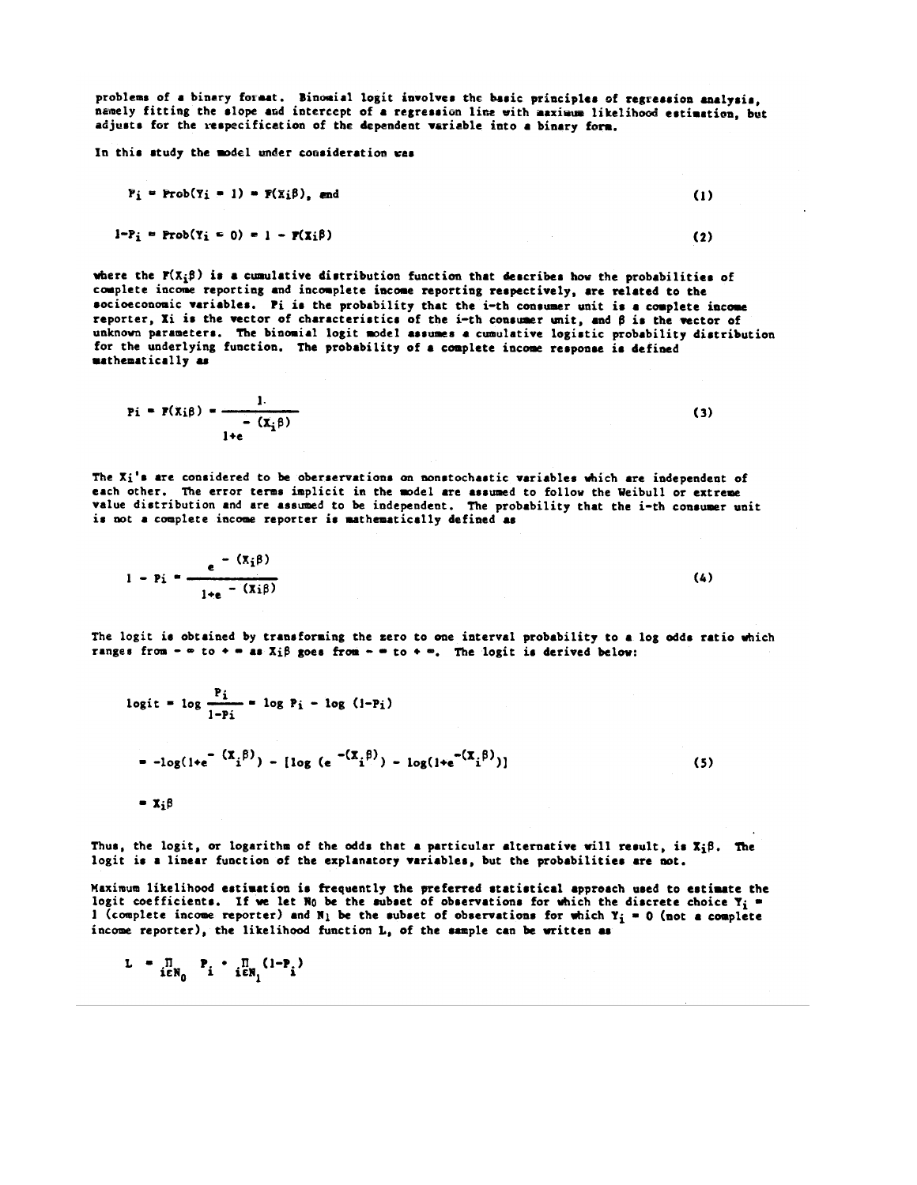problems of a binary format. Binomial logit involves the basic principles of regression analysis. namely fitting the slope and intercept of a regression line with maximum likelihood estimation, but adjusts for the respecification of the dependent variable into a binary form.

In this study the model under consideration was

$$
P_i = \text{Prob}(Y_i = 1) = F(X_i \beta), \text{ and} \tag{1}
$$

$$
1-P_1 = Prob(Y_1 = 0) = 1 - P(X_1\beta)
$$

where the  $\mathbf{r}(x_i; \beta)$  is a cumulative distribution function that describes how the probabilities of complete income reporting and incomplete income reporting respectively, are related to the socioeconomic variables. Fi is the probability that the i-th consumer unit is a complete income reporter, Xi is the vector of characteristics of the i-th consumer unit, and  $\beta$  is the vector of unknown parameters. The binomial logit model assumes a cumulative logistic probability distribution for the underlying function. The probability of a complete income response is defined mathematically as

$$
Pi = F(X_i\beta) = \frac{1}{1+e^{-(X_i\beta)}}
$$
 (3)

The Xi's are considered to be oberservations on nonstochastic variables which are independent of each other. The error terms implicit in the model are assumed to follow the Weibull or extreme value distribution and are assumed to be independent. The probability that the i-th consumer unit is not a complete income reporter is mathematically defined as

1 - Pi =  $\frac{e^{-(x_i \beta)}}{1 + e^{-(x_i \beta)}}$  $(4)$ 

The logit is obtained by transforming the zero to one interval probability to a log odds ratio which ranges from -  $\infty$  to +  $\infty$  as X<sub>i</sub> $\beta$  goes from -  $\infty$  to +  $\infty$ . The logit is derived below:

$$
logit = log \frac{t_1}{1 - Pi} = log P_i - log (1 - P_i)
$$
  
= -log(1+e<sup>- (X<sub>i</sub> \beta)</sup>) - [log (e<sup>- (X<sub>i</sub> \beta)</sup>) - log(1+e<sup>- (X<sub>i</sub> \beta)</sup>)] (5)

 $= \mathbf{X}_i \boldsymbol{\beta}$ 

Thus, the logit, or logarithm of the odds that a particular alternative will result, is  $x_i\beta$ . The logit is a linear function of the explanatory variables, but the probabilities are not.

Maximum likelihood estimation is frequently the preferred statistical approach used to estimate the logit coefficients. If we let  $R_0$  be the subset of observations for which the discrete choice  $Y_i$  = 1 (complete income reporter) and N<sub>1</sub> be the subset of observations for which Y<sub>i</sub> = 0 (not a complete income reporter), the likelihood function L, of the sample can be written as

$$
L = \prod_{i \in N_0} P_i \cdot \prod_{i \in N_1} (1 - P_i)
$$

 $\bullet$ .

 $(2)$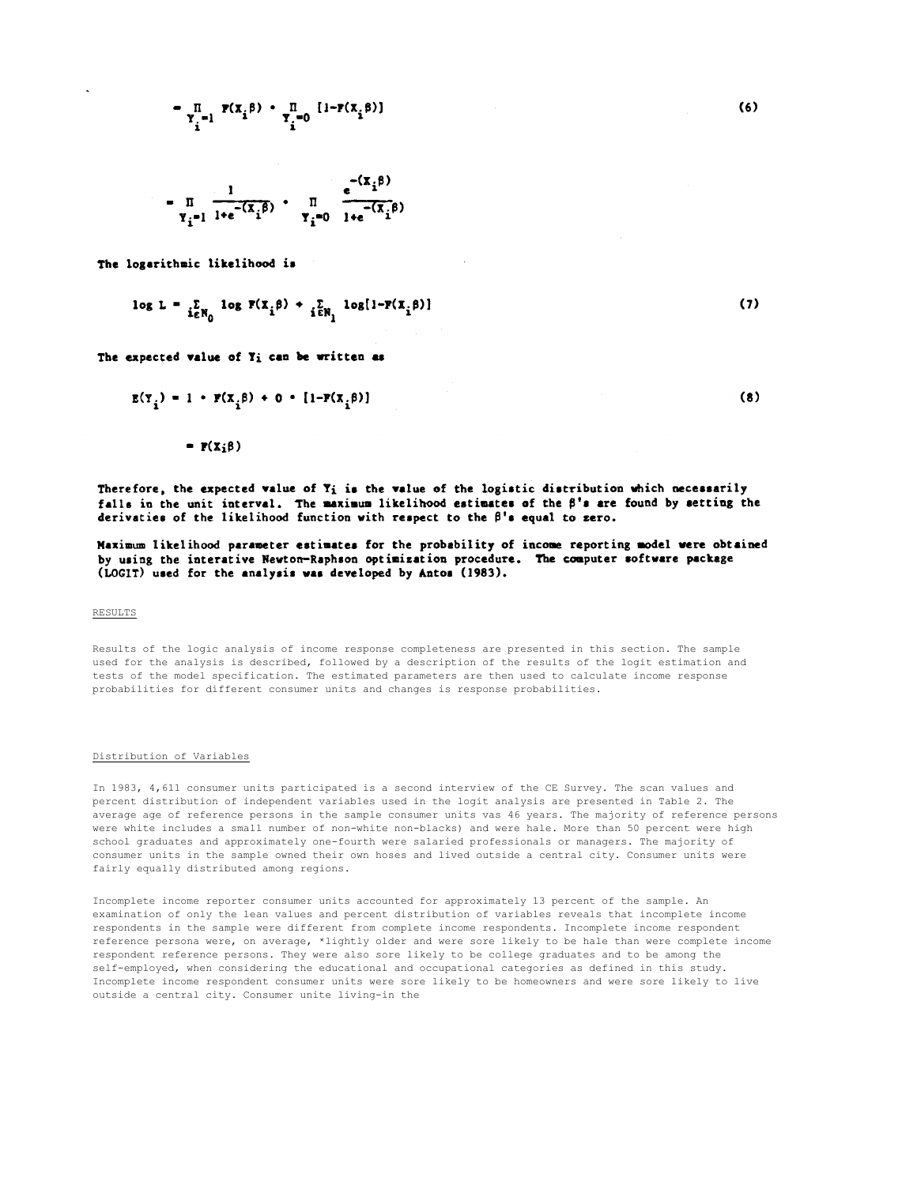$$
= \prod_{\substack{\Upsilon_i = 1}} \mathbf{F}(\mathbf{x}_i \boldsymbol{\beta}) + \prod_{\substack{\Upsilon_i = 0 \\ \Upsilon_i}} [1 - \mathbf{F}(\mathbf{x}_i \boldsymbol{\beta})]
$$

$$
= \prod_{\substack{\Upsilon_i = 1 \ \Upsilon_i = (\overline{X}_i \beta) \\ \Upsilon_i = 0}} \prod_{\substack{1 + e^{-\left(\overline{X}_i \beta\right)}}{1 + e^{-\left(\overline{X}_i \beta\right)}}}
$$

The logarithmic likelihood is

$$
\log L = \sum_{i \in \mathbb{N}_0} \log F(\mathbf{x}_i \beta) + \sum_{i \in \mathbb{N}_1} \log[1 - F(\mathbf{x}_i \beta)] \tag{7}
$$

The expected value of Y<sub>i</sub> can be written as

$$
E(Y_i) = 1 \cdot F(X_i \beta) + 0 \cdot [1 - F(X_i \beta)] \tag{8}
$$

 $= \mathbf{F}(\mathbf{X}_i \boldsymbol{\beta})$ 

Therefore, the expected value of Y<sub>i</sub> is the value of the logistic distribution which necessarily falls in the unit interval. The maximum likelihood estimates of the  $\beta$ 's are found by setting the derivaties of the likelihood function with respect to the  $\beta$ 's equal to zero.

Naximum likelihood parameter estimates for the probability of income reporting model were obtained by using the interative Newton-Raphson optimization procedure. The computer software package (LOGIT) used for the analysis was developed by Antos (1983).

## RESULTS

Results of the logic analysis of income response completeness are presented in this section. The sample used for the analysis is described, followed by a description of the results of the logit estimation and tests of the model specification. The estimated parameters are then used to calculate income response probabilities for different consumer units and changes is response probabilities.

## Distribution of Variables

In 1983, 4,611 consumer units participated is a second interview of the CE Survey. The scan values and percent distribution of independent variables used in the logit analysis are presented in Table 2. The average age of reference persons in the sample consumer units vas 46 years. The majority of reference persons were white includes a small number of non-white non-blacks) and were hale. More than 50 percent were high school graduates and approximately one-fourth were salaried professionals or managers. The majority of consumer units in the sample owned their own hoses and lived outside a central city. Consumer units were fairly equally distributed among regions.

Incomplete income reporter consumer units accounted for approximately 13 percent of the sample. An examination of only the lean values and percent distribution of variables reveals that incomplete income respondents in the sample were different from complete income respondents. Incomplete income respondent reference persona were, on average, \*lightly older and were sore likely to be hale than were complete income respondent reference persons. They were also sore likely to be college graduates and to be among the self-employed, when considering the educational and occupational categories as defined in this study. Incomplete income respondent consumer units were sore likely to be homeowners and were sore likely to live outside a central city. Consumer unite living-in the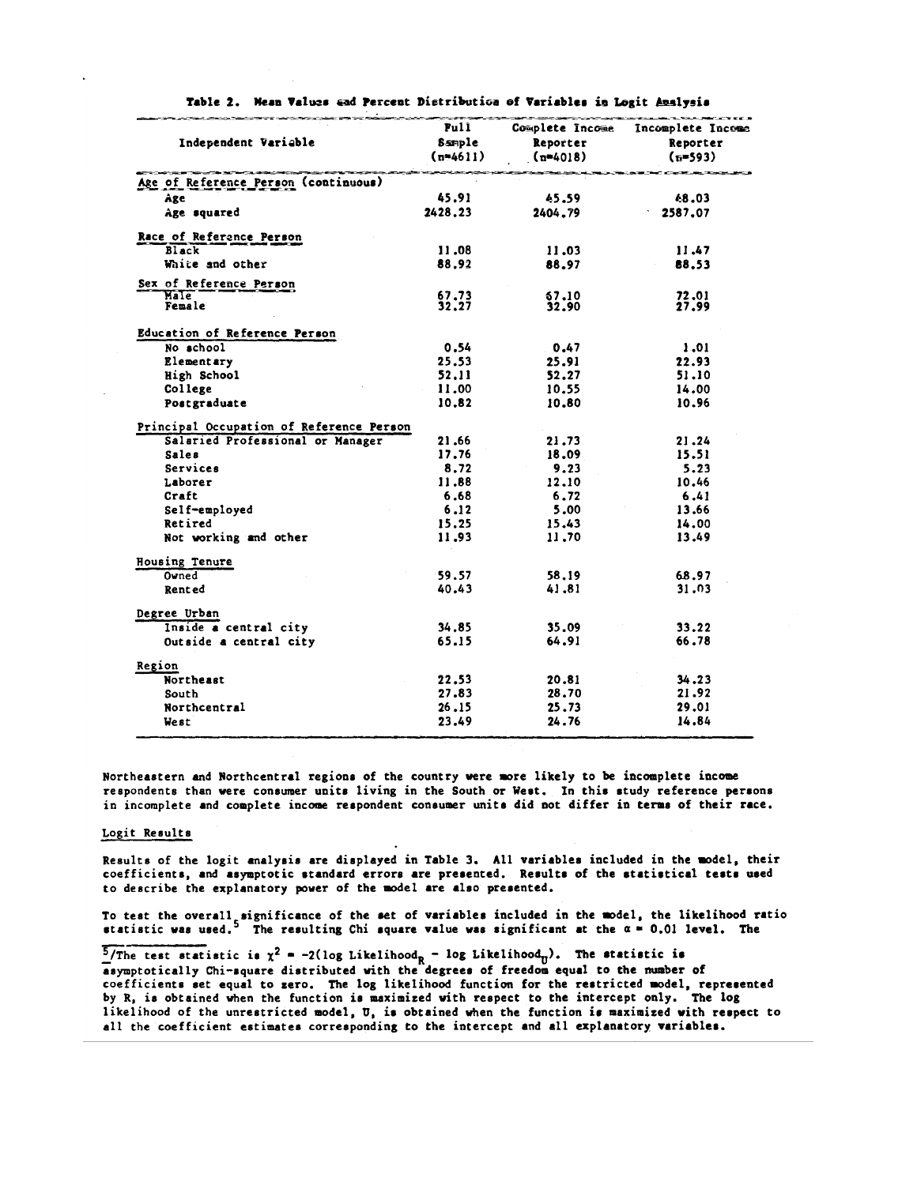| Independent Variable                     | Full<br>Sample<br>$(n=4611)$ | Complete Income<br>Reporter<br>$(n=4018)$ | Incomplete Income<br>Reporter<br>$(n=593)$ |
|------------------------------------------|------------------------------|-------------------------------------------|--------------------------------------------|
| Age of Reference Person (continuous)     |                              |                                           |                                            |
| Age.                                     | 45.91                        | 45.59                                     | 48.03                                      |
| Age squared                              | 2428.23                      | 2404.79                                   | 2587.07                                    |
| Race of Reference Person                 |                              |                                           |                                            |
| <b>Black</b>                             | 11.08                        | 11.03                                     | 11.47                                      |
| White and other                          | 88.92                        | 88.97                                     | 88.53                                      |
| Sex of Reference Person                  |                              |                                           |                                            |
| Male<br>Female                           | 67,73<br>32.27               | 67.10<br>32.90                            | 72,01<br>27.99                             |
| Education of Reference Person            |                              |                                           |                                            |
| No school                                | 0.54                         | 0.47                                      | 1.01                                       |
| Elementary                               | 25.53                        | 25.91                                     | 22.93                                      |
| High School                              | 52.11                        | 52.27                                     | 51.10                                      |
| College                                  | 11.00                        | 10.55                                     | 14.00                                      |
| Postgraduate                             | 10.82                        | 10.80                                     | 10.96                                      |
| Principal Occupation of Reference Person |                              |                                           |                                            |
| Salaried Professional or Manager         | 21.66                        | 21.73                                     | 21.24                                      |
| <b>Sales</b>                             | 17.76                        | 18.09                                     | 15.51                                      |
| Services                                 | 8.72                         | 9.23                                      | 5.23                                       |
| Laborer                                  | 11.88                        | 12.10                                     | 10.46                                      |
| Craft                                    | 6.68                         | 6.72                                      | 6.41                                       |
| Self-employed                            | 6.12                         | 5.00                                      | 13.66                                      |
| Retired                                  | 15.25                        | 15.43                                     | 14.00                                      |
| Not working and other                    | 11.93                        | 11,70                                     | 13.49                                      |
| Housing Tenure                           |                              |                                           |                                            |
| Owned                                    | 59.57                        | 58.19                                     | 68.97                                      |
| Rented                                   | 40.43                        | 41.81                                     | 31.03                                      |
| Degree Urban                             |                              |                                           |                                            |
| Inside a central city                    | 34.85                        | 35.09                                     | 33.22                                      |
| Outside a central city                   | 65.15                        | 64.91                                     | 66.78                                      |
| Region                                   |                              |                                           |                                            |
| Northeast                                | 22.53                        | 20.81                                     | 34.23                                      |
| South                                    | 27.83                        | 28.70                                     | 21.92                                      |
| Northcentral                             | 26.15                        | 25.73                                     | 29,01                                      |
| West                                     | 23.49                        | 24.76                                     | 14.84                                      |

Table 2. Mean Values and Percent Distribution of Variables in Logit Analysis

Northeastern and Northcentral regions of the country were more likely to be incomplete income respondents than were consumer units living in the South or West. In this study reference persons in incomplete and complete income respondent consumer units did not differ in terms of their race.

## Logit Results

Results of the logit analysis are displayed in Table 3. All variables included in the model, their coefficients, and asymptotic standard errors are presented. Results of the statistical tests used to describe the explanatory power of the model are also presented.

To test the overall significance of the set of variables included in the model, the likelihood ratio statistic was used.<sup>5</sup> The resulting Chi square value was significant at the  $\alpha = 0.01$  level. The

 $\frac{5}{\text{The test statistic}}$  is  $\chi^2 = -2(\log \text{Likelihood}_{R} - \log \text{Likelihood}_{U})$ . The statistic is asymptotically Chi-square distributed with the degrees of freedom equal to the number of coefficients set equal to zero. The log likelihood function for the restricted model, represented by R, is obtained when the function is maximized with respect to the intercept only. The log likelihood of the unrestricted model, U, is obtained when the function is maximized with respect to all the coefficient estimates corresponding to the intercept and all explanatory variables.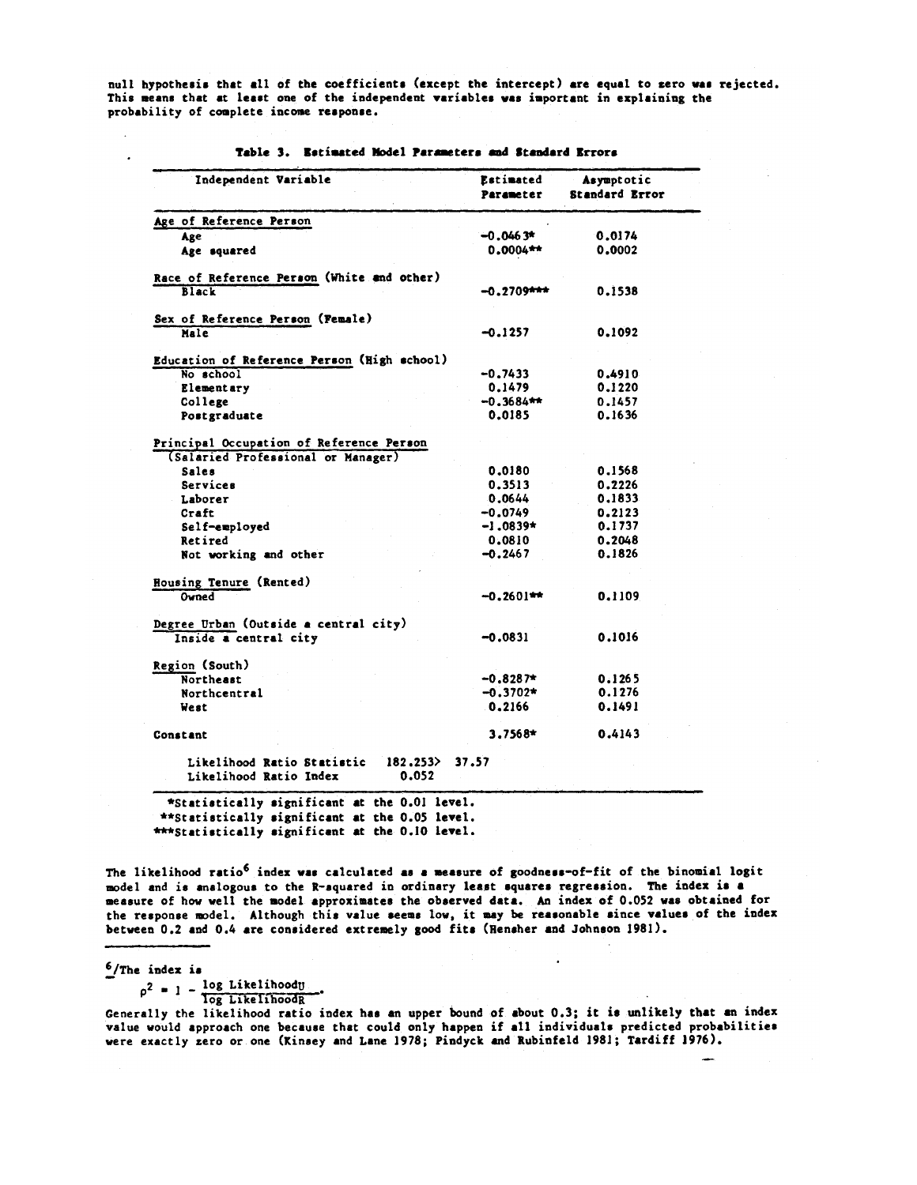null hypothesis that all of the coefficients (except the intercept) are equal to zero was rejected. This means that at least one of the independent variables was important in explaining the probability of complete income response.

| Independent Variable                                                           | <b>Estimated</b><br>Parameter | Asymptotic<br><b>Standard Error</b> |
|--------------------------------------------------------------------------------|-------------------------------|-------------------------------------|
| Age of Reference Person                                                        |                               |                                     |
| Age                                                                            | $-0.0463*$                    | 0.0174                              |
| Age squared                                                                    | $0.0004**$                    | 0.0002                              |
| Race of Reference Person (White and other)<br><b>Black</b>                     | $-0.2709$ ***                 | 0.1538                              |
| Sex of Reference Person (Female)                                               |                               |                                     |
| Male                                                                           | -0.1257                       | 0.1092                              |
| Education of Reference Person (High school)                                    |                               |                                     |
| No school                                                                      | $-0.7433$                     | 0.4910                              |
| Elementary                                                                     | 0.1479                        | 0.1220                              |
| College                                                                        | $-0.3684**$                   | 0.1457                              |
| Postgraduate                                                                   | 0.0185                        | 0.1636                              |
| Principal Occupation of Reference Person<br>(Salaried Professional or Manager) |                               |                                     |
| <b>Sales</b>                                                                   | 0.0180                        | 0.1568                              |
| Services                                                                       | 0.3513                        | 0.2226                              |
| Laborer                                                                        | 0.0644                        | 0.1833                              |
| Craft                                                                          | $-0.0749$                     | 0.2123                              |
| Self-employed                                                                  | $-1.0839*$                    | 0.1737                              |
| Retired                                                                        | 0.0810                        | 0.2048                              |
| Not working and other                                                          | $-0.2467$                     | 0.1826                              |
| Housing Tenure (Rented)                                                        |                               |                                     |
| Owned                                                                          | $-0.2601***$                  | 0.1109                              |
| Degree Urban (Outside a central city)                                          |                               |                                     |
| Inside a central city                                                          | $-0.0831$                     | 0.1016                              |
| Region (South)                                                                 |                               |                                     |
| <b>Northeast</b>                                                               | $-0.8287$ *                   | 0.1265                              |
| Northcentral                                                                   | $-0.3702*$                    | 0.1276                              |
| West                                                                           | 0.2166                        | 0.1491                              |
| Constant                                                                       | $3.7568*$                     | 0.4143                              |
| Likelihood Ratio Statistic<br>182.253<br>0.052<br>Likelihood Ratio Index       | 37.57                         |                                     |

Table 3. Estimated Model Parameters and Standard Errors

\*\*Statistically significant at the 0.05 level. \*\*\*Statistically significant at the 0.10 level.

The likelihood ratio<sup>6</sup> index was calculated as a measure of goodness-of-fit of the binomial logit model and is analogous to the R-squared in ordinary least squares regression. The index is a measure of how well the model approximates the observed data. An index of 0.052 was obtained for the response model. Although this value seems low, it may be reasonable since values of the index between 0.2 and 0.4 are considered extremely good fits (Hensher and Johnson 1981).

 $6$ /The index is

 $\overline{a}$ 

 $\rho^2 = 1 - \frac{\log \text{Likelihood}}{\log \text{Likelihood}}$ 

Generally the likelihood ratio index has an upper bound of about 0.3; it is unlikely that an index value would approach one because that could only happen if all individuals predicted probabilities were exactly zero or one (Kinsey and Lane 1978; Pindyck and Rubinfeld 1981; Tardiff 1976).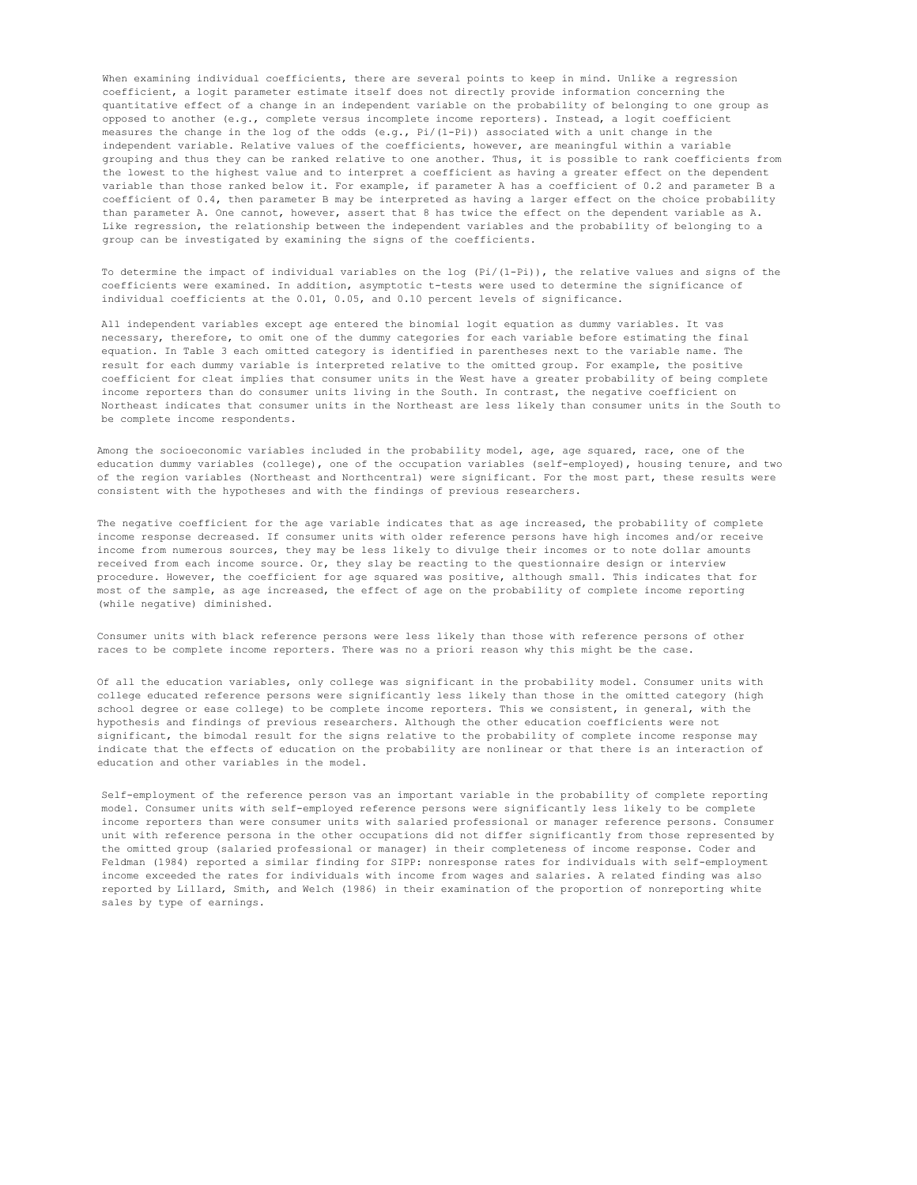When examining individual coefficients, there are several points to keep in mind. Unlike a regression coefficient, a logit parameter estimate itself does not directly provide information concerning the quantitative effect of a change in an independent variable on the probability of belonging to one group as opposed to another (e.g., complete versus incomplete income reporters). Instead, a logit coefficient measures the change in the log of the odds (e.g., Pi/(1-Pi)) associated with a unit change in the independent variable. Relative values of the coefficients, however, are meaningful within a variable grouping and thus they can be ranked relative to one another. Thus, it is possible to rank coefficients from the lowest to the highest value and to interpret a coefficient as having a greater effect on the dependent variable than those ranked below it. For example, if parameter A has a coefficient of 0.2 and parameter B a coefficient of 0.4, then parameter B may be interpreted as having a larger effect on the choice probability than parameter A. One cannot, however, assert that 8 has twice the effect on the dependent variable as A. Like regression, the relationship between the independent variables and the probability of belonging to a group can be investigated by examining the signs of the coefficients.

To determine the impact of individual variables on the log (Pi/(1-Pi)), the relative values and signs of the coefficients were examined. In addition, asymptotic t-tests were used to determine the significance of individual coefficients at the 0.01, 0.05, and 0.10 percent levels of significance.

All independent variables except age entered the binomial logit equation as dummy variables. It vas necessary, therefore, to omit one of the dummy categories for each variable before estimating the final equation. In Table 3 each omitted category is identified in parentheses next to the variable name. The result for each dummy variable is interpreted relative to the omitted group. For example, the positive coefficient for cleat implies that consumer units in the West have a greater probability of being complete income reporters than do consumer units living in the South. In contrast, the negative coefficient on Northeast indicates that consumer units in the Northeast are less likely than consumer units in the South to be complete income respondents.

Among the socioeconomic variables included in the probability model, age, age squared, race, one of the education dummy variables (college), one of the occupation variables (self-employed), housing tenure, and two of the region variables (Northeast and Northcentral) were significant. For the most part, these results were consistent with the hypotheses and with the findings of previous researchers.

The negative coefficient for the age variable indicates that as age increased, the probability of complete income response decreased. If consumer units with older reference persons have high incomes and/or receive income from numerous sources, they may be less likely to divulge their incomes or to note dollar amounts received from each income source. Or, they slay be reacting to the questionnaire design or interview procedure. However, the coefficient for age squared was positive, although small. This indicates that for most of the sample, as age increased, the effect of age on the probability of complete income reporting (while negative) diminished.

Consumer units with black reference persons were less likely than those with reference persons of other races to be complete income reporters. There was no a priori reason why this might be the case.

Of all the education variables, only college was significant in the probability model. Consumer units with college educated reference persons were significantly less likely than those in the omitted category (high school degree or ease college) to be complete income reporters. This we consistent, in general, with the hypothesis and findings of previous researchers. Although the other education coefficients were not significant, the bimodal result for the signs relative to the probability of complete income response may indicate that the effects of education on the probability are nonlinear or that there is an interaction of education and other variables in the model.

Self-employment of the reference person vas an important variable in the probability of complete reporting model. Consumer units with self-employed reference persons were significantly less likely to be complete income reporters than were consumer units with salaried professional or manager reference persons. Consumer unit with reference persona in the other occupations did not differ significantly from those represented by the omitted group (salaried professional or manager) in their completeness of income response. Coder and Feldman (1984) reported a similar finding for SIPP: nonresponse rates for individuals with self-employment income exceeded the rates for individuals with income from wages and salaries. A related finding was also reported by Lillard, Smith, and Welch (1986) in their examination of the proportion of nonreporting white sales by type of earnings.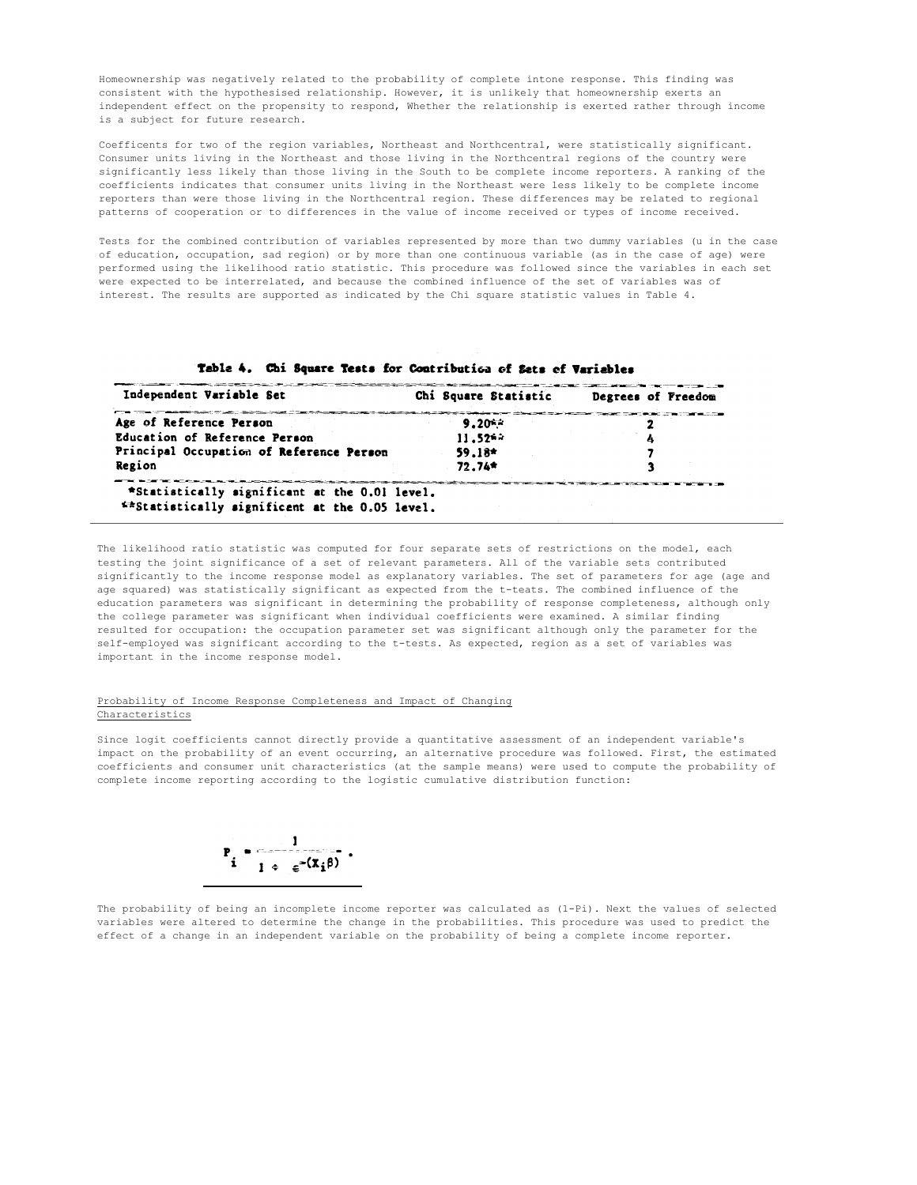Homeownership was negatively related to the probability of complete intone response. This finding was consistent with the hypothesised relationship. However, it is unlikely that homeownership exerts an independent effect on the propensity to respond, Whether the relationship is exerted rather through income is a subject for future research.

Coefficents for two of the region variables, Northeast and Northcentral, were statistically significant. Consumer units living in the Northeast and those living in the Northcentral regions of the country were significantly less likely than those living in the South to be complete income reporters. A ranking of the coefficients indicates that consumer units living in the Northeast were less likely to be complete income reporters than were those living in the Northcentral region. These differences may be related to regional patterns of cooperation or to differences in the value of income received or types of income received.

Tests for the combined contribution of variables represented by more than two dummy variables (u in the case of education, occupation, sad region) or by more than one continuous variable (as in the case of age) were performed using the likelihood ratio statistic. This procedure was followed since the variables in each set were expected to be interrelated, and because the combined influence of the set of variables was of interest. The results are supported as indicated by the Chi square statistic values in Table 4.

| Independent Variable Set                 | Chi Square Statistic | Degrees of Freedom |
|------------------------------------------|----------------------|--------------------|
| Age of Reference Person                  | $9.20**$             |                    |
| Education of Reference Person            | $11.52**$            |                    |
| Principal Occupation of Reference Person | $59.18*$             |                    |
| Region                                   | 72.74*               |                    |

Table 4. Chi Sougre Tests for Contribution of Sets of Variables

The likelihood ratio statistic was computed for four separate sets of restrictions on the model, each testing the joint significance of a set of relevant parameters. All of the variable sets contributed significantly to the income response model as explanatory variables. The set of parameters for age (age and age squared) was statistically significant as expected from the t-teats. The combined influence of the education parameters was significant in determining the probability of response completeness, although only the college parameter was significant when individual coefficients were examined. A similar finding resulted for occupation: the occupation parameter set was significant although only the parameter for the self-employed was significant according to the t-tests. As expected, region as a set of variables was important in the income response model.

## Probability of Income Response Completeness and Impact of Changing Characteristics

Since logit coefficients cannot directly provide a quantitative assessment of an independent variable's impact on the probability of an event occurring, an alternative procedure was followed. First, the estimated coefficients and consumer unit characteristics (at the sample means) were used to compute the probability of complete income reporting according to the logistic cumulative distribution function:



The probability of being an incomplete income reporter was calculated as (1-Pi). Next the values of selected variables were altered to determine the change in the probabilities. This procedure was used to predict the effect of a change in an independent variable on the probability of being a complete income reporter.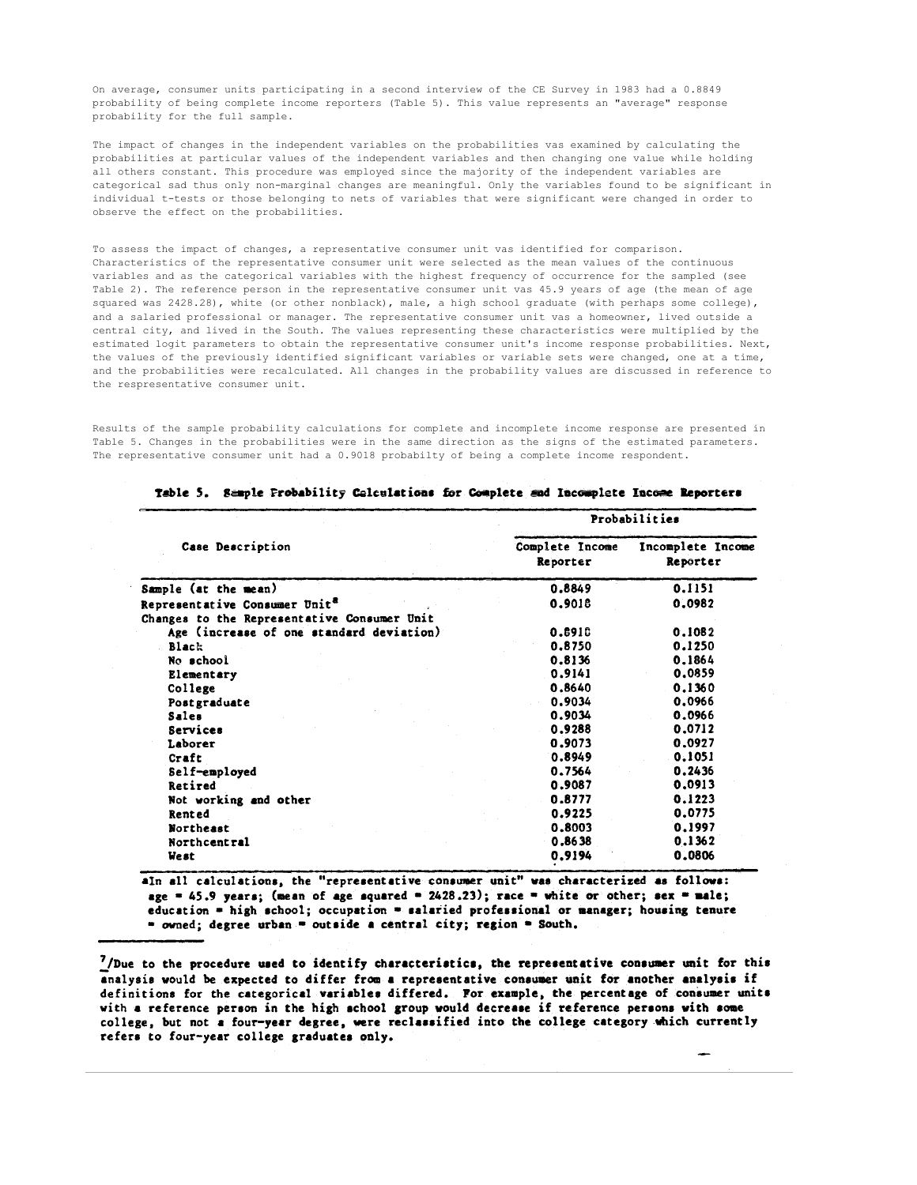On average, consumer units participating in a second interview of the CE Survey in 1983 had a 0.8849 probability of being complete income reporters (Table 5). This value represents an "average" response probability for the full sample.

The impact of changes in the independent variables on the probabilities vas examined by calculating the probabilities at particular values of the independent variables and then changing one value while holding all others constant. This procedure was employed since the majority of the independent variables are categorical sad thus only non-marginal changes are meaningful. Only the variables found to be significant in individual t-tests or those belonging to nets of variables that were significant were changed in order to observe the effect on the probabilities.

To assess the impact of changes, a representative consumer unit vas identified for comparison. Characteristics of the representative consumer unit were selected as the mean values of the continuous variables and as the categorical variables with the highest frequency of occurrence for the sampled (see Table 2). The reference person in the representative consumer unit vas 45.9 years of age (the mean of age squared was 2428.28), white (or other nonblack), male, a high school graduate (with perhaps some college), and a salaried professional or manager. The representative consumer unit vas a homeowner, lived outside a central city, and lived in the South. The values representing these characteristics were multiplied by the estimated logit parameters to obtain the representative consumer unit's income response probabilities. Next, the values of the previously identified significant variables or variable sets were changed, one at a time, and the probabilities were recalculated. All changes in the probability values are discussed in reference to the respresentative consumer unit.

Results of the sample probability calculations for complete and incomplete income response are presented in Table 5. Changes in the probabilities were in the same direction as the signs of the estimated parameters. The representative consumer unit had a 0.9018 probabilty of being a complete income respondent.

|                                             | Probabilities               |                               |  |
|---------------------------------------------|-----------------------------|-------------------------------|--|
| Case Description                            | Complete Income<br>Reporter | Incomplete Income<br>Reporter |  |
| Sample (at the mean)                        | 0.8849                      | 0.1151                        |  |
| Representative Consumer Unit <sup>a</sup>   | 0.9018                      | 0.0982                        |  |
| Changes to the Representative Consumer Unit |                             |                               |  |
| Age (increase of one standard deviation)    | 0.8918                      | 0.1082                        |  |
| Black                                       | 0.8750                      | 0.1250                        |  |
| No school                                   | 0.8136                      | 0.1864                        |  |
| Elementary                                  | 0.9141                      | 0.0859                        |  |
| College                                     | 0.8640                      | 0.1360                        |  |
| Postgraduate                                | 0.9034                      | 0.0966                        |  |
| <b>Sales</b>                                | 0.9034                      | 0.0966                        |  |
| Services                                    | 0.9288                      | 0.0712                        |  |
| Laborer                                     | 0.9073                      | 0.0927                        |  |
| Craft                                       | 0.8949                      | 0.1051                        |  |
| Self-employed                               | 0.7564                      | 0.2436                        |  |
| Retired                                     | 0.9087                      | 0.0913                        |  |
| Not working and other                       | 0.8777                      | 0.1223                        |  |
| Rented                                      | 0.9225                      | 0.0775                        |  |
| Northeast                                   | 0.8003                      | 0.1997                        |  |
| Northcentral                                | 0.8638                      | 0.1362                        |  |
| West                                        | 0.9194                      | 0.0806                        |  |

|  |  | Table 5. Sample Probability Colculations for Complete and Incomplete Income Reporters |
|--|--|---------------------------------------------------------------------------------------|
|  |  |                                                                                       |

alm all calculations, the "representative consumer unit" was characterized as follows: age = 45.9 years; (mean of age squared = 2428.23); race = white or other; sex = male; education = high school; occupation = salaried professional or manager; housing tenure = owned; degree urban = outside a central city; region = South.

 $7/D$ ue to the procedure used to identify characteristics, the representative consumer unit for this analysis would be expected to differ from a representative consumer unit for another analysis if definitions for the categorical variables differed. For example, the percentage of consumer units with a reference person in the high school group would decrease if reference persons with some college, but not a four-year degree, were reclassified into the college category which currently refers to four-year college graduates only.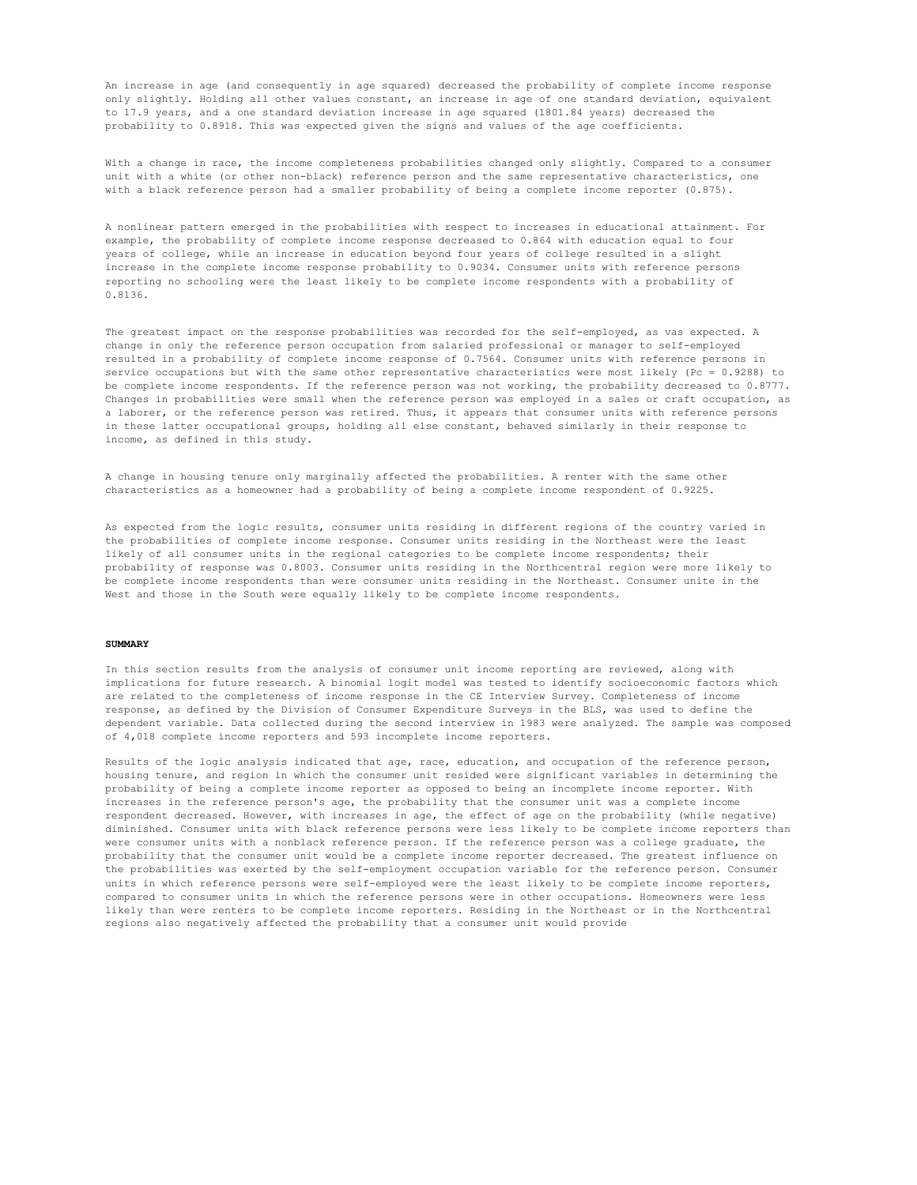An increase in age (and consequently in age squared) decreased the probability of complete income response only slightly. Holding all other values constant, an increase in age of one standard deviation, equivalent to 17.9 years, and a one standard deviation increase in age squared (1801.84 years) decreased the probability to 0.8918. This was expected given the signs and values of the age coefficients.

With a change in race, the income completeness probabilities changed only slightly. Compared to a consumer unit with a white (or other non-black) reference person and the same representative characteristics, one with a black reference person had a smaller probability of being a complete income reporter (0.875).

A nonlinear pattern emerged in the probabilities with respect to increases in educational attainment. For example, the probability of complete income response decreased to 0.864 with education equal to four years of college, while an increase in education beyond four years of college resulted in a slight increase in the complete income response probability to 0.9034. Consumer units with reference persons reporting no schooling were the least likely to be complete income respondents with a probability of 0.8136.

The greatest impact on the response probabilities was recorded for the self-employed, as vas expected. A change in only the reference person occupation from salaried professional or manager to self-employed resulted in a probability of complete income response of 0.7564. Consumer units with reference persons in service occupations but with the same other representative characteristics were most likely (Pc = 0.9288) to be complete income respondents. If the reference person was not working, the probability decreased to 0.8777. Changes in probabilities were small when the reference person was employed in a sales or craft occupation, as a laborer, or the reference person was retired. Thus, it appears that consumer units with reference persons in these latter occupational groups, holding all else constant, behaved similarly in their response to income, as defined in this study.

A change in housing tenure only marginally affected the probabilities. A renter with the same other characteristics as a homeowner had a probability of being a complete income respondent of 0.9225.

As expected from the logic results, consumer units residing in different regions of the country varied in the probabilities of complete income response. Consumer units residing in the Northeast were the least likely of all consumer units in the regional categories to be complete income respondents; their probability of response was 0.8003. Consumer units residing in the Northcentral region were more likely to be complete income respondents than were consumer units residing in the Northeast. Consumer unite in the West and those in the South were equally likely to be complete income respondents.

#### **SUMMARY**

In this section results from the analysis of consumer unit income reporting are reviewed, along with implications for future research. A binomial logit model was tested to identify socioeconomic factors which are related to the completeness of income response in the CE Interview Survey. Completeness of income response, as defined by the Division of Consumer Expenditure Surveys in the BLS, was used to define the dependent variable. Data collected during the second interview in 1983 were analyzed. The sample was composed of 4,018 complete income reporters and 593 incomplete income reporters.

Results of the logic analysis indicated that age, race, education, and occupation of the reference person, housing tenure, and region in which the consumer unit resided were significant variables in determining the probability of being a complete income reporter as opposed to being an incomplete income reporter. With increases in the reference person's age, the probability that the consumer unit was a complete income respondent decreased. However, with increases in age, the effect of age on the probability (while negative) diminished. Consumer units with black reference persons were less likely to be complete income reporters than were consumer units with a nonblack reference person. If the reference person was a college graduate, the probability that the consumer unit would be a complete income reporter decreased. The greatest influence on the probabilities was exerted by the self-employment occupation variable for the reference person. Consumer units in which reference persons were self-employed were the least likely to be complete income reporters, compared to consumer units in which the reference persons were in other occupations. Homeowners were less likely than were renters to be complete income reporters. Residing in the Northeast or in the Northcentral regions also negatively affected the probability that a consumer unit would provide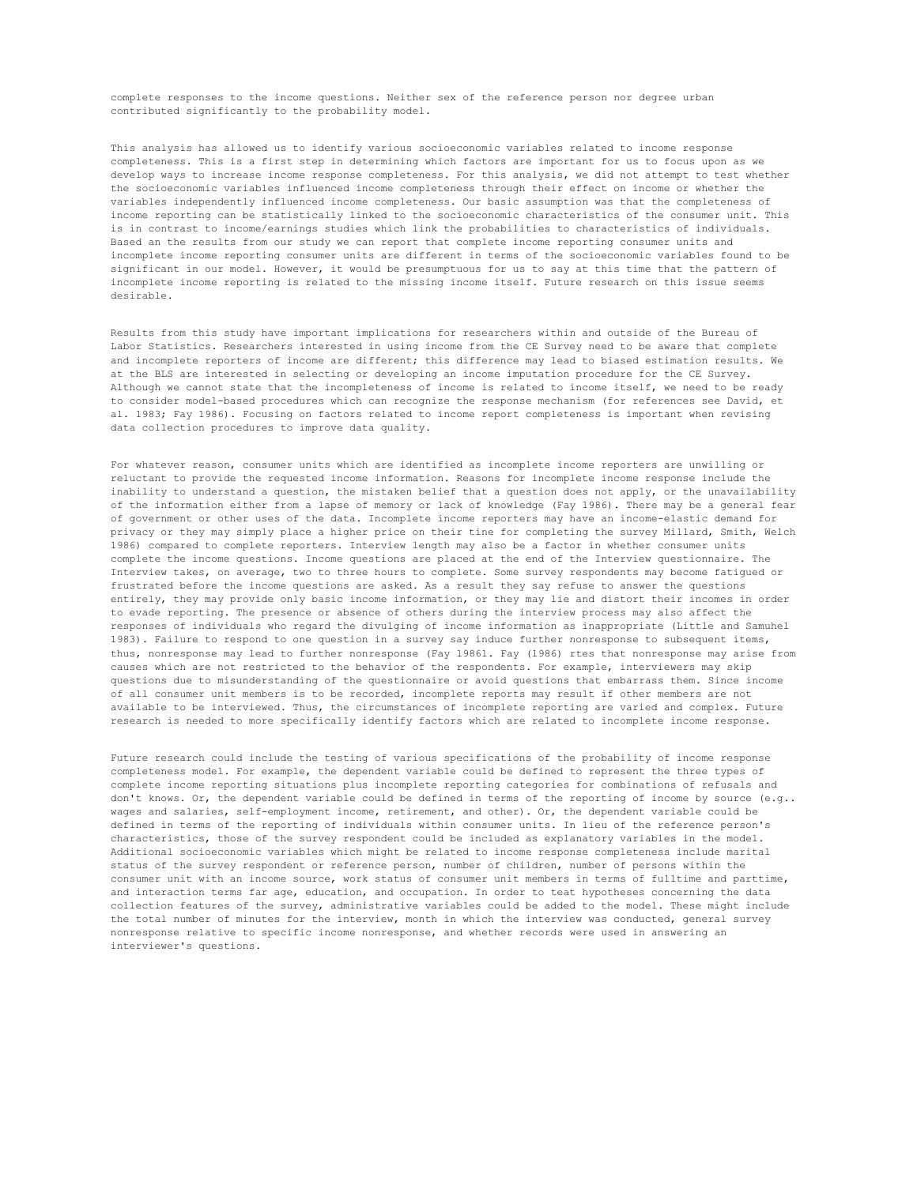complete responses to the income questions. Neither sex of the reference person nor degree urban contributed significantly to the probability model.

This analysis has allowed us to identify various socioeconomic variables related to income response completeness. This is a first step in determining which factors are important for us to focus upon as we develop ways to increase income response completeness. For this analysis, we did not attempt to test whether the socioeconomic variables influenced income completeness through their effect on income or whether the variables independently influenced income completeness. Our basic assumption was that the completeness of income reporting can be statistically linked to the socioeconomic characteristics of the consumer unit. This is in contrast to income/earnings studies which link the probabilities to characteristics of individuals. Based an the results from our study we can report that complete income reporting consumer units and incomplete income reporting consumer units are different in terms of the socioeconomic variables found to be significant in our model. However, it would be presumptuous for us to say at this time that the pattern of incomplete income reporting is related to the missing income itself. Future research on this issue seems desirable.

Results from this study have important implications for researchers within and outside of the Bureau of Labor Statistics. Researchers interested in using income from the CE Survey need to be aware that complete and incomplete reporters of income are different; this difference may lead to biased estimation results. We at the BLS are interested in selecting or developing an income imputation procedure for the CE Survey. Although we cannot state that the incompleteness of income is related to income itself, we need to be ready to consider model-based procedures which can recognize the response mechanism (for references see David, et al. 1983; Fay 1986). Focusing on factors related to income report completeness is important when revising data collection procedures to improve data quality.

For whatever reason, consumer units which are identified as incomplete income reporters are unwilling or reluctant to provide the requested income information. Reasons for incomplete income response include the inability to understand a question, the mistaken belief that a question does not apply, or the unavailability of the information either from a lapse of memory or lack of knowledge (Fay 1986). There may be a general fear of government or other uses of the data. Incomplete income reporters may have an income-elastic demand for privacy or they may simply place a higher price on their tine for completing the survey Millard, Smith, Welch 1986) compared to complete reporters. Interview length may also be a factor in whether consumer units complete the income questions. Income questions are placed at the end of the Interview questionnaire. The Interview takes, on average, two to three hours to complete. Some survey respondents may become fatigued or frustrated before the income questions are asked. As a result they say refuse to answer the questions entirely, they may provide only basic income information, or they may lie and distort their incomes in order to evade reporting. The presence or absence of others during the interview process may also affect the responses of individuals who regard the divulging of income information as inappropriate (Little and Samuhel 1983). Failure to respond to one question in a survey say induce further nonresponse to subsequent items, thus, nonresponse may lead to further nonresponse (Fay 19861. Fay (1986) rtes that nonresponse may arise from causes which are not restricted to the behavior of the respondents. For example, interviewers may skip questions due to misunderstanding of the questionnaire or avoid questions that embarrass them. Since income of all consumer unit members is to be recorded, incomplete reports may result if other members are not available to be interviewed. Thus, the circumstances of incomplete reporting are varied and complex. Future research is needed to more specifically identify factors which are related to incomplete income response.

Future research could include the testing of various specifications of the probability of income response completeness model. For example, the dependent variable could be defined to represent the three types of complete income reporting situations plus incomplete reporting categories for combinations of refusals and don't knows. Or, the dependent variable could be defined in terms of the reporting of income by source (e.g.. wages and salaries, self-employment income, retirement, and other). Or, the dependent variable could be defined in terms of the reporting of individuals within consumer units. In lieu of the reference person's characteristics, those of the survey respondent could be included as explanatory variables in the model. Additional socioeconomic variables which might be related to income response completeness include marital status of the survey respondent or reference person, number of children, number of persons within the consumer unit with an income source, work status of consumer unit members in terms of fulltime and parttime, and interaction terms far age, education, and occupation. In order to teat hypotheses concerning the data collection features of the survey, administrative variables could be added to the model. These might include the total number of minutes for the interview, month in which the interview was conducted, general survey nonresponse relative to specific income nonresponse, and whether records were used in answering an interviewer's questions.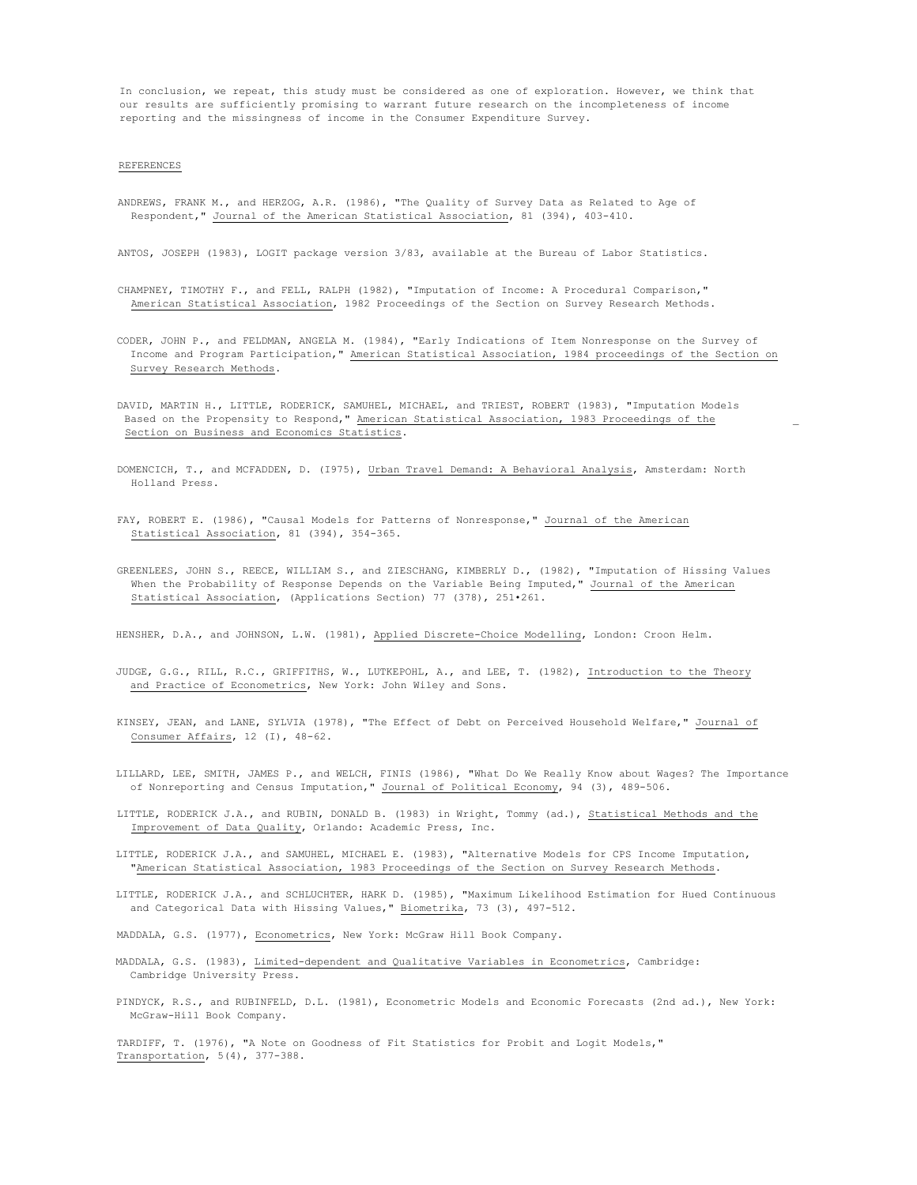In conclusion, we repeat, this study must be considered as one of exploration. However, we think that our results are sufficiently promising to warrant future research on the incompleteness of income reporting and the missingness of income in the Consumer Expenditure Survey.

## REFERENCES

ANDREWS, FRANK M., and HERZOG, A.R. (1986), "The Quality of Survey Data as Related to Age of Respondent," Journal of the American Statistical Association, 81 (394), 403-410.

ANTOS, JOSEPH (1983), LOGIT package version 3/83, available at the Bureau of Labor Statistics.

- CHAMPNEY, TIMOTHY F., and FELL, RALPH (1982), "Imputation of Income: A Procedural Comparison," American Statistical Association, 1982 Proceedings of the Section on Survey Research Methods.
- CODER, JOHN P., and FELDMAN, ANGELA M. (1984), "Early Indications of Item Nonresponse on the Survey of Income and Program Participation," American Statistical Association, 1984 proceedings of the Section on Survey Research Methods.
- DAVID, MARTIN H., LITTLE, RODERICK, SAMUHEL, MICHAEL, and TRIEST, ROBERT (1983), "Imputation Models Based on the Propensity to Respond," American Statistical Association, 1983 Proceedings of the \_ Section on Business and Economics Statistics.
- DOMENCICH, T., and MCFADDEN, D. (I975), Urban Travel Demand: A Behavioral Analysis, Amsterdam: North Holland Press.
- FAY, ROBERT E. (1986), "Causal Models for Patterns of Nonresponse," Journal of the American Statistical Association, 81 (394), 354-365.
- GREENLEES, JOHN S., REECE, WILLIAM S., and ZIESCHANG, KIMBERLY D., (1982), "Imputation of Hissing Values When the Probability of Response Depends on the Variable Being Imputed," Journal of the American Statistical Association, (Applications Section) 77 (378), 251•261.

HENSHER, D.A., and JOHNSON, L.W. (1981), Applied Discrete-Choice Modelling, London: Croon Helm.

- JUDGE, G.G., RILL, R.C., GRIFFITHS, W., LUTKEPOHL, A., and LEE, T. (1982), Introduction to the Theory and Practice of Econometrics, New York: John Wiley and Sons.
- KINSEY, JEAN, and LANE, SYLVIA (1978), "The Effect of Debt on Perceived Household Welfare," Journal of Consumer Affairs, 12 (I), 48-62.
- LILLARD, LEE, SMITH, JAMES P., and WELCH, FINIS (1986), "What Do We Really Know about Wages? The Importance of Nonreporting and Census Imputation," Journal of Political Economy, 94 (3), 489-506.
- LITTLE, RODERICK J.A., and RUBIN, DONALD B. (1983) in Wright, Tommy (ad.), Statistical Methods and the Improvement of Data Quality, Orlando: Academic Press, Inc.
- LITTLE, RODERICK J.A., and SAMUHEL, MICHAEL E. (1983), "Alternative Models for CPS Income Imputation, "American Statistical Association, 1983 Proceedings of the Section on Survey Research Methods.
- LITTLE, RODERICK J.A., and SCHLUCHTER, HARK D. (1985), "Maximum Likelihood Estimation for Hued Continuous and Categorical Data with Hissing Values," Biometrika, 73 (3), 497-512.

MADDALA, G.S. (1977), Econometrics, New York: McGraw Hill Book Company.

- MADDALA, G.S. (1983), Limited-dependent and Qualitative Variables in Econometrics, Cambridge: Cambridge University Press.
- PINDYCK, R.S., and RUBINFELD, D.L. (1981), Econometric Models and Economic Forecasts (2nd ad.), New York: McGraw-Hill Book Company.

TARDIFF, T. (1976), "A Note on Goodness of Fit Statistics for Probit and Logit Models," Transportation, 5(4), 377-388.